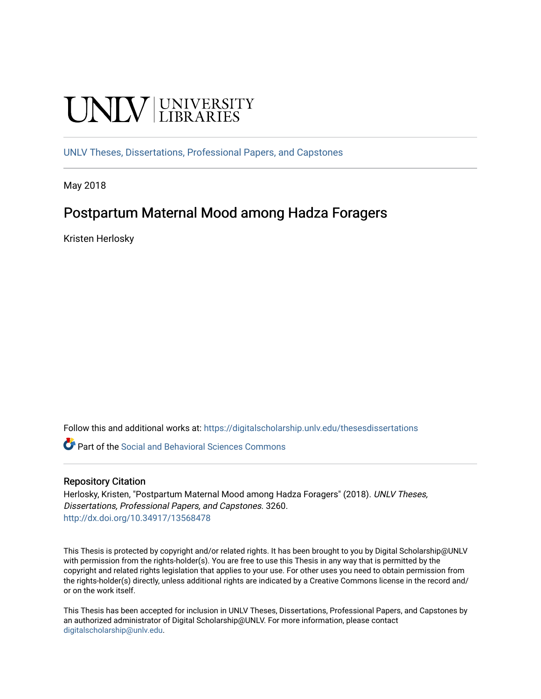# **UNIVERSITY**

[UNLV Theses, Dissertations, Professional Papers, and Capstones](https://digitalscholarship.unlv.edu/thesesdissertations)

May 2018

# Postpartum Maternal Mood among Hadza Foragers

Kristen Herlosky

Follow this and additional works at: [https://digitalscholarship.unlv.edu/thesesdissertations](https://digitalscholarship.unlv.edu/thesesdissertations?utm_source=digitalscholarship.unlv.edu%2Fthesesdissertations%2F3260&utm_medium=PDF&utm_campaign=PDFCoverPages)

Part of the [Social and Behavioral Sciences Commons](http://network.bepress.com/hgg/discipline/316?utm_source=digitalscholarship.unlv.edu%2Fthesesdissertations%2F3260&utm_medium=PDF&utm_campaign=PDFCoverPages) 

#### Repository Citation

Herlosky, Kristen, "Postpartum Maternal Mood among Hadza Foragers" (2018). UNLV Theses, Dissertations, Professional Papers, and Capstones. 3260. <http://dx.doi.org/10.34917/13568478>

This Thesis is protected by copyright and/or related rights. It has been brought to you by Digital Scholarship@UNLV with permission from the rights-holder(s). You are free to use this Thesis in any way that is permitted by the copyright and related rights legislation that applies to your use. For other uses you need to obtain permission from the rights-holder(s) directly, unless additional rights are indicated by a Creative Commons license in the record and/ or on the work itself.

This Thesis has been accepted for inclusion in UNLV Theses, Dissertations, Professional Papers, and Capstones by an authorized administrator of Digital Scholarship@UNLV. For more information, please contact [digitalscholarship@unlv.edu](mailto:digitalscholarship@unlv.edu).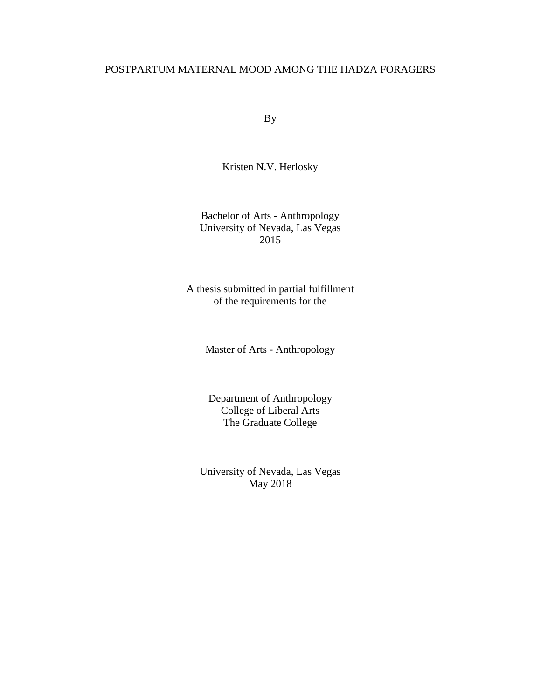## POSTPARTUM MATERNAL MOOD AMONG THE HADZA FORAGERS

By

Kristen N.V. Herlosky

Bachelor of Arts - Anthropology University of Nevada, Las Vegas 2015

A thesis submitted in partial fulfillment of the requirements for the

Master of Arts - Anthropology

Department of Anthropology College of Liberal Arts The Graduate College

University of Nevada, Las Vegas May 2018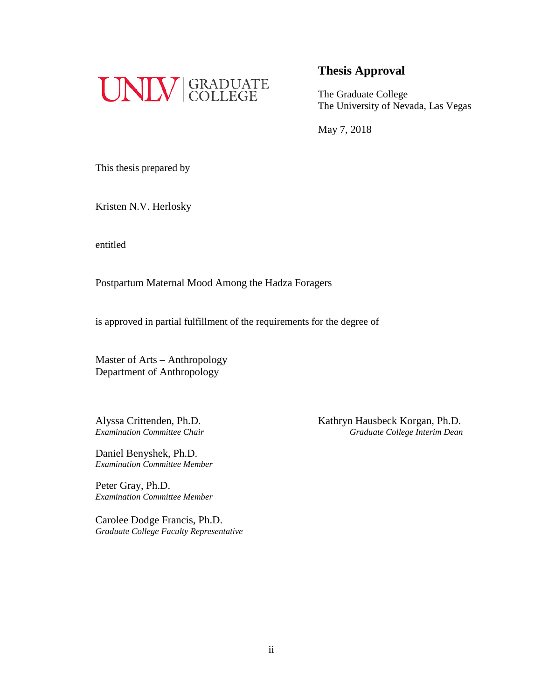

## **Thesis Approval**

The Graduate College The University of Nevada, Las Vegas

May 7, 2018

This thesis prepared by

Kristen N.V. Herlosky

entitled

Postpartum Maternal Mood Among the Hadza Foragers

is approved in partial fulfillment of the requirements for the degree of

Master of Arts – Anthropology Department of Anthropology

Daniel Benyshek, Ph.D. *Examination Committee Member*

Peter Gray, Ph.D. *Examination Committee Member*

Carolee Dodge Francis, Ph.D. *Graduate College Faculty Representative*

Alyssa Crittenden, Ph.D.<br> *Examination Committee Chair*<br> *Craduate College Interim Dean Examination Committee Chair Graduate College Interim Dean*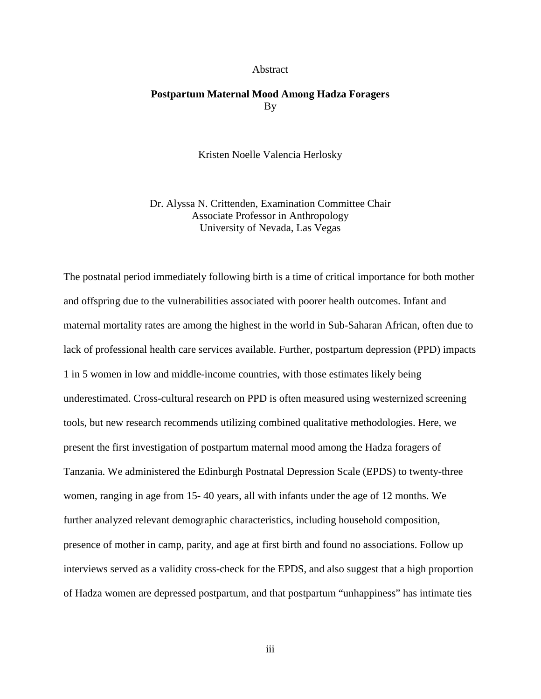#### Abstract

## **Postpartum Maternal Mood Among Hadza Foragers**  By

Kristen Noelle Valencia Herlosky

Dr. Alyssa N. Crittenden, Examination Committee Chair Associate Professor in Anthropology University of Nevada, Las Vegas

The postnatal period immediately following birth is a time of critical importance for both mother and offspring due to the vulnerabilities associated with poorer health outcomes. Infant and maternal mortality rates are among the highest in the world in Sub-Saharan African, often due to lack of professional health care services available. Further, postpartum depression (PPD) impacts 1 in 5 women in low and middle-income countries, with those estimates likely being underestimated. Cross-cultural research on PPD is often measured using westernized screening tools, but new research recommends utilizing combined qualitative methodologies. Here, we present the first investigation of postpartum maternal mood among the Hadza foragers of Tanzania. We administered the Edinburgh Postnatal Depression Scale (EPDS) to twenty-three women, ranging in age from 15- 40 years, all with infants under the age of 12 months. We further analyzed relevant demographic characteristics, including household composition, presence of mother in camp, parity, and age at first birth and found no associations. Follow up interviews served as a validity cross-check for the EPDS, and also suggest that a high proportion of Hadza women are depressed postpartum, and that postpartum "unhappiness" has intimate ties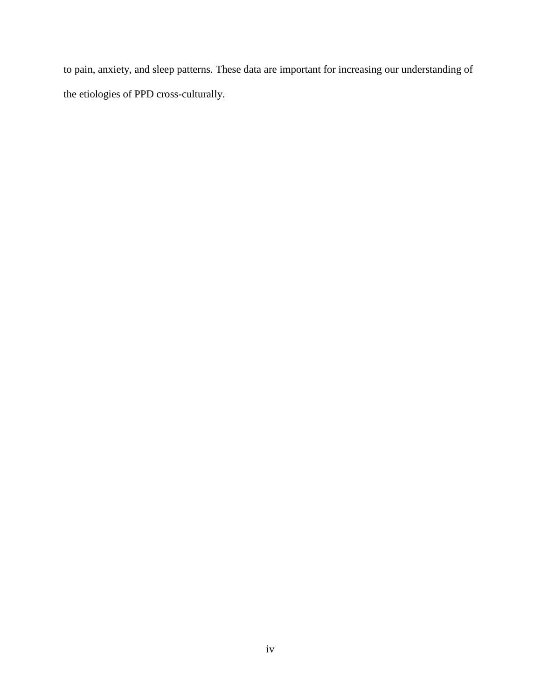to pain, anxiety, and sleep patterns. These data are important for increasing our understanding of the etiologies of PPD cross-culturally.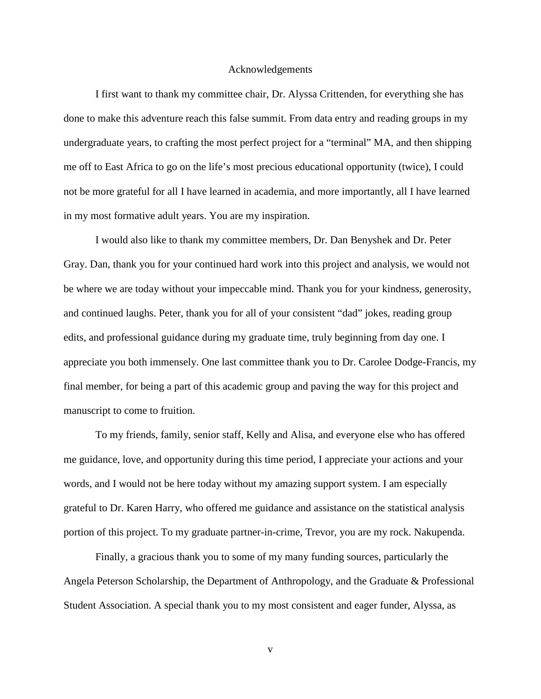#### Acknowledgements

I first want to thank my committee chair, Dr. Alyssa Crittenden, for everything she has done to make this adventure reach this false summit. From data entry and reading groups in my undergraduate years, to crafting the most perfect project for a "terminal" MA, and then shipping me off to East Africa to go on the life's most precious educational opportunity (twice), I could not be more grateful for all I have learned in academia, and more importantly, all I have learned in my most formative adult years. You are my inspiration.

I would also like to thank my committee members, Dr. Dan Benyshek and Dr. Peter Gray. Dan, thank you for your continued hard work into this project and analysis, we would not be where we are today without your impeccable mind. Thank you for your kindness, generosity, and continued laughs. Peter, thank you for all of your consistent "dad" jokes, reading group edits, and professional guidance during my graduate time, truly beginning from day one. I appreciate you both immensely. One last committee thank you to Dr. Carolee Dodge-Francis, my final member, for being a part of this academic group and paving the way for this project and manuscript to come to fruition.

To my friends, family, senior staff, Kelly and Alisa, and everyone else who has offered me guidance, love, and opportunity during this time period, I appreciate your actions and your words, and I would not be here today without my amazing support system. I am especially grateful to Dr. Karen Harry, who offered me guidance and assistance on the statistical analysis portion of this project. To my graduate partner-in-crime, Trevor, you are my rock. Nakupenda.

Finally, a gracious thank you to some of my many funding sources, particularly the Angela Peterson Scholarship, the Department of Anthropology, and the Graduate & Professional Student Association. A special thank you to my most consistent and eager funder, Alyssa, as

v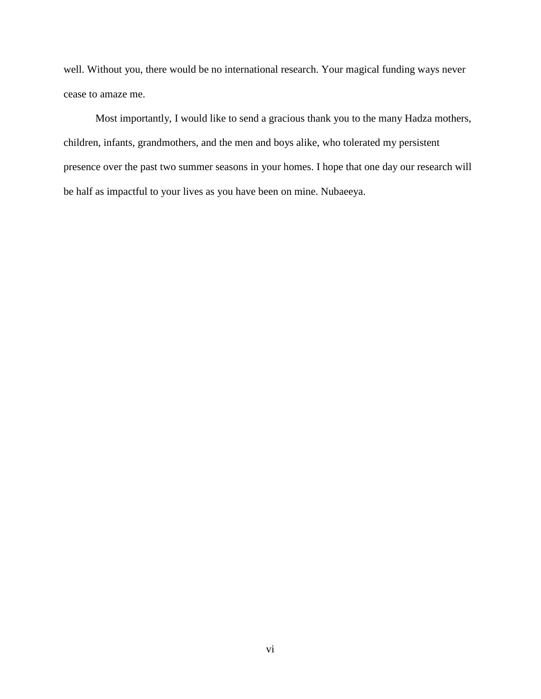well. Without you, there would be no international research. Your magical funding ways never cease to amaze me.

Most importantly, I would like to send a gracious thank you to the many Hadza mothers, children, infants, grandmothers, and the men and boys alike, who tolerated my persistent presence over the past two summer seasons in your homes. I hope that one day our research will be half as impactful to your lives as you have been on mine. Nubaeeya.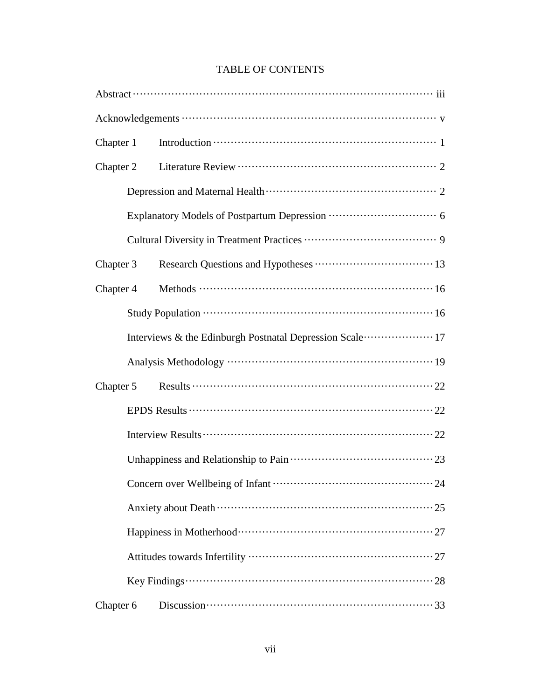## TABLE OF CONTENTS

| Chapter 1 |                                                                                                                                                                  |  |  |  |
|-----------|------------------------------------------------------------------------------------------------------------------------------------------------------------------|--|--|--|
| Chapter 2 |                                                                                                                                                                  |  |  |  |
|           |                                                                                                                                                                  |  |  |  |
|           |                                                                                                                                                                  |  |  |  |
|           |                                                                                                                                                                  |  |  |  |
| Chapter 3 |                                                                                                                                                                  |  |  |  |
| Chapter 4 |                                                                                                                                                                  |  |  |  |
|           |                                                                                                                                                                  |  |  |  |
|           | Interviews & the Edinburgh Postnatal Depression Scale  17                                                                                                        |  |  |  |
|           |                                                                                                                                                                  |  |  |  |
| Chapter 5 | Results $\cdots$ $\cdots$ $\cdots$ $\cdots$ $\cdots$ $\cdots$ $\cdots$ $\cdots$ $\cdots$ $\cdots$ $\cdots$ $\cdots$ $\cdots$ $\cdots$ $\cdots$ $\cdots$ $\cdots$ |  |  |  |
|           |                                                                                                                                                                  |  |  |  |
|           |                                                                                                                                                                  |  |  |  |
|           |                                                                                                                                                                  |  |  |  |
|           |                                                                                                                                                                  |  |  |  |
|           |                                                                                                                                                                  |  |  |  |
|           |                                                                                                                                                                  |  |  |  |
|           |                                                                                                                                                                  |  |  |  |
|           |                                                                                                                                                                  |  |  |  |
| Chapter 6 | Discussion $\cdots$ $\cdots$ $\cdots$ $\cdots$ $\cdots$ $\cdots$ $\cdots$ $\cdots$ $\cdots$ $\cdots$ $\cdots$ $\cdots$ $\cdots$ 33                               |  |  |  |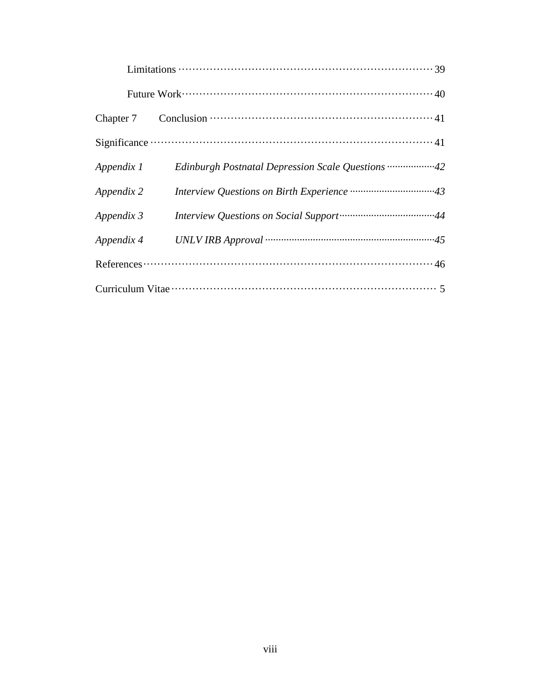| Appendix 1 | Edinburgh Postnatal Depression Scale Questions 42                                                                                                                                                                                                                                                                                     |
|------------|---------------------------------------------------------------------------------------------------------------------------------------------------------------------------------------------------------------------------------------------------------------------------------------------------------------------------------------|
| Appendix 2 |                                                                                                                                                                                                                                                                                                                                       |
| Appendix 3 |                                                                                                                                                                                                                                                                                                                                       |
| Appendix 4 |                                                                                                                                                                                                                                                                                                                                       |
|            | References $\cdots$ $\cdots$ $\cdots$ $\cdots$ $\cdots$ $\cdots$ $\cdots$ $\cdots$ $\cdots$ $\cdots$ $\cdots$ $\cdots$ $\cdots$ $\cdots$ $\cdots$ $\cdots$ $\cdots$ $\cdots$ $\cdots$ $\cdots$ $\cdots$ $\cdots$ $\cdots$ $\cdots$ $\cdots$ $\cdots$ $\cdots$ $\cdots$ $\cdots$ $\cdots$ $\cdots$ $\cdots$ $\cdots$ $\cdots$ $\cdots$ |
|            |                                                                                                                                                                                                                                                                                                                                       |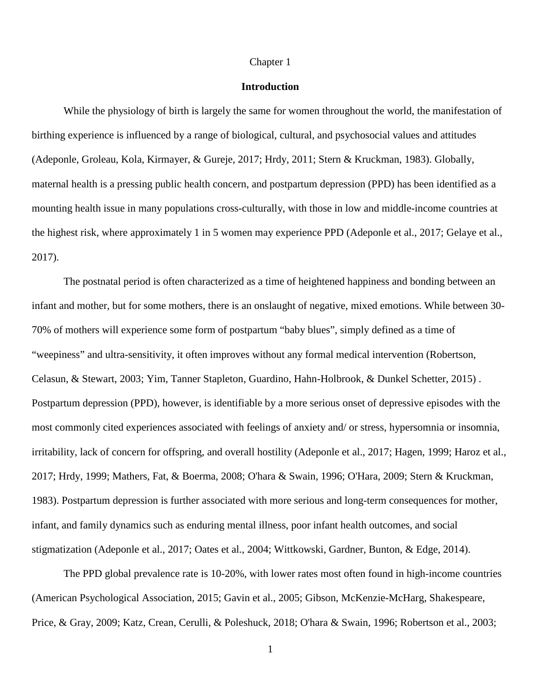#### Chapter 1

#### **Introduction**

While the physiology of birth is largely the same for women throughout the world, the manifestation of birthing experience is influenced by a range of biological, cultural, and psychosocial values and attitudes (Adeponle, Groleau, Kola, Kirmayer, & Gureje, 2017; Hrdy, 2011; Stern & Kruckman, 1983). Globally, maternal health is a pressing public health concern, and postpartum depression (PPD) has been identified as a mounting health issue in many populations cross-culturally, with those in low and middle-income countries at the highest risk, where approximately 1 in 5 women may experience PPD (Adeponle et al., 2017; Gelaye et al., 2017).

The postnatal period is often characterized as a time of heightened happiness and bonding between an infant and mother, but for some mothers, there is an onslaught of negative, mixed emotions. While between 30- 70% of mothers will experience some form of postpartum "baby blues", simply defined as a time of "weepiness" and ultra-sensitivity, it often improves without any formal medical intervention (Robertson, Celasun, & Stewart, 2003; Yim, Tanner Stapleton, Guardino, Hahn-Holbrook, & Dunkel Schetter, 2015) . Postpartum depression (PPD), however, is identifiable by a more serious onset of depressive episodes with the most commonly cited experiences associated with feelings of anxiety and/ or stress, hypersomnia or insomnia, irritability, lack of concern for offspring, and overall hostility (Adeponle et al., 2017; Hagen, 1999; Haroz et al., 2017; Hrdy, 1999; Mathers, Fat, & Boerma, 2008; O'hara & Swain, 1996; O'Hara, 2009; Stern & Kruckman, 1983). Postpartum depression is further associated with more serious and long-term consequences for mother, infant, and family dynamics such as enduring mental illness, poor infant health outcomes, and social stigmatization (Adeponle et al., 2017; Oates et al., 2004; Wittkowski, Gardner, Bunton, & Edge, 2014).

The PPD global prevalence rate is 10-20%, with lower rates most often found in high-income countries (American Psychological Association, 2015; Gavin et al., 2005; Gibson, McKenzie-McHarg, Shakespeare, Price, & Gray, 2009; Katz, Crean, Cerulli, & Poleshuck, 2018; O'hara & Swain, 1996; Robertson et al., 2003;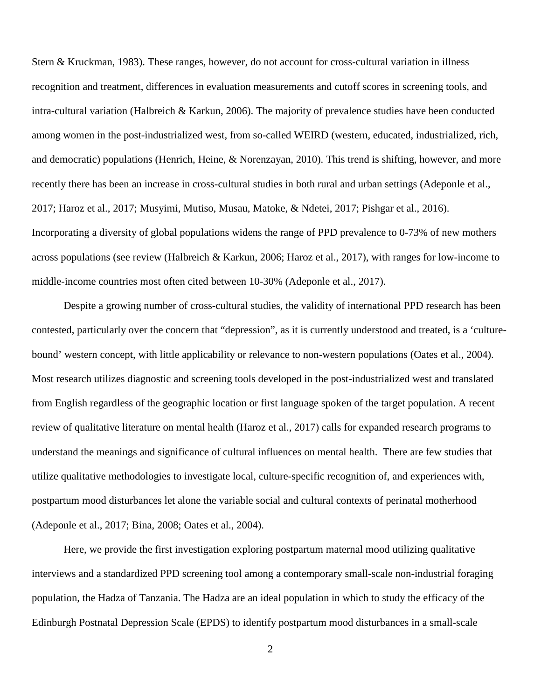Stern & Kruckman, 1983). These ranges, however, do not account for cross-cultural variation in illness recognition and treatment, differences in evaluation measurements and cutoff scores in screening tools, and intra-cultural variation (Halbreich & Karkun, 2006). The majority of prevalence studies have been conducted among women in the post-industrialized west, from so-called WEIRD (western, educated, industrialized, rich, and democratic) populations (Henrich, Heine, & Norenzayan, 2010). This trend is shifting, however, and more recently there has been an increase in cross-cultural studies in both rural and urban settings (Adeponle et al., 2017; Haroz et al., 2017; Musyimi, Mutiso, Musau, Matoke, & Ndetei, 2017; Pishgar et al., 2016). Incorporating a diversity of global populations widens the range of PPD prevalence to 0-73% of new mothers across populations (see review (Halbreich & Karkun, 2006; Haroz et al., 2017), with ranges for low-income to middle-income countries most often cited between 10-30% (Adeponle et al., 2017).

Despite a growing number of cross-cultural studies, the validity of international PPD research has been contested, particularly over the concern that "depression", as it is currently understood and treated, is a 'culturebound' western concept, with little applicability or relevance to non-western populations (Oates et al., 2004). Most research utilizes diagnostic and screening tools developed in the post-industrialized west and translated from English regardless of the geographic location or first language spoken of the target population. A recent review of qualitative literature on mental health (Haroz et al., 2017) calls for expanded research programs to understand the meanings and significance of cultural influences on mental health. There are few studies that utilize qualitative methodologies to investigate local, culture-specific recognition of, and experiences with, postpartum mood disturbances let alone the variable social and cultural contexts of perinatal motherhood (Adeponle et al., 2017; Bina, 2008; Oates et al., 2004).

Here, we provide the first investigation exploring postpartum maternal mood utilizing qualitative interviews and a standardized PPD screening tool among a contemporary small-scale non-industrial foraging population, the Hadza of Tanzania. The Hadza are an ideal population in which to study the efficacy of the Edinburgh Postnatal Depression Scale (EPDS) to identify postpartum mood disturbances in a small-scale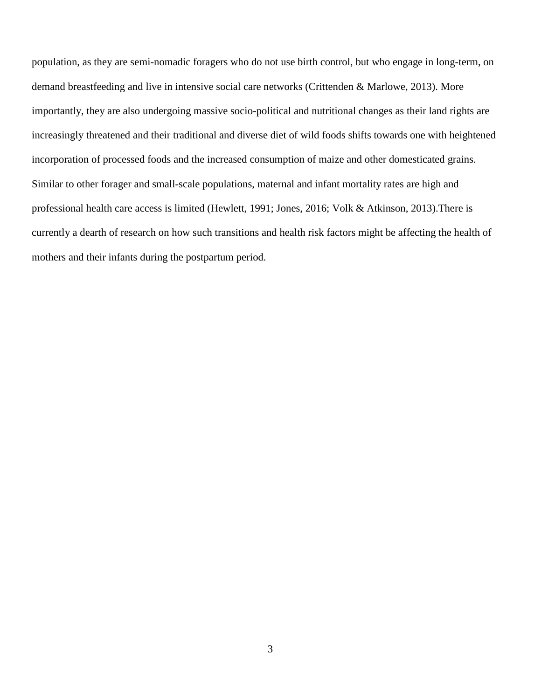population, as they are semi-nomadic foragers who do not use birth control, but who engage in long-term, on demand breastfeeding and live in intensive social care networks (Crittenden & Marlowe, 2013). More importantly, they are also undergoing massive socio-political and nutritional changes as their land rights are increasingly threatened and their traditional and diverse diet of wild foods shifts towards one with heightened incorporation of processed foods and the increased consumption of maize and other domesticated grains. Similar to other forager and small-scale populations, maternal and infant mortality rates are high and professional health care access is limited (Hewlett, 1991; Jones, 2016; Volk & Atkinson, 2013).There is currently a dearth of research on how such transitions and health risk factors might be affecting the health of mothers and their infants during the postpartum period.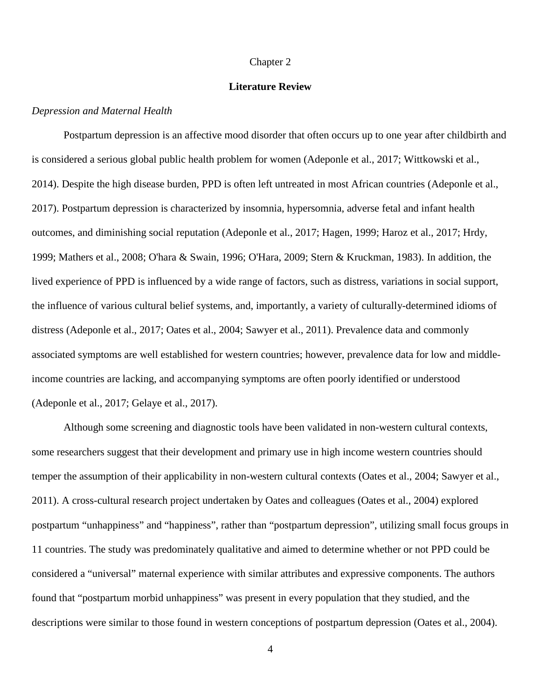#### Chapter 2

#### **Literature Review**

#### *Depression and Maternal Health*

Postpartum depression is an affective mood disorder that often occurs up to one year after childbirth and is considered a serious global public health problem for women (Adeponle et al., 2017; Wittkowski et al., 2014). Despite the high disease burden, PPD is often left untreated in most African countries (Adeponle et al., 2017). Postpartum depression is characterized by insomnia, hypersomnia, adverse fetal and infant health outcomes, and diminishing social reputation (Adeponle et al., 2017; Hagen, 1999; Haroz et al., 2017; Hrdy, 1999; Mathers et al., 2008; O'hara & Swain, 1996; O'Hara, 2009; Stern & Kruckman, 1983). In addition, the lived experience of PPD is influenced by a wide range of factors, such as distress, variations in social support, the influence of various cultural belief systems, and, importantly, a variety of culturally-determined idioms of distress (Adeponle et al., 2017; Oates et al., 2004; Sawyer et al., 2011). Prevalence data and commonly associated symptoms are well established for western countries; however, prevalence data for low and middleincome countries are lacking, and accompanying symptoms are often poorly identified or understood (Adeponle et al., 2017; Gelaye et al., 2017).

Although some screening and diagnostic tools have been validated in non-western cultural contexts, some researchers suggest that their development and primary use in high income western countries should temper the assumption of their applicability in non-western cultural contexts (Oates et al., 2004; Sawyer et al., 2011). A cross-cultural research project undertaken by Oates and colleagues (Oates et al., 2004) explored postpartum "unhappiness" and "happiness", rather than "postpartum depression", utilizing small focus groups in 11 countries. The study was predominately qualitative and aimed to determine whether or not PPD could be considered a "universal" maternal experience with similar attributes and expressive components. The authors found that "postpartum morbid unhappiness" was present in every population that they studied, and the descriptions were similar to those found in western conceptions of postpartum depression (Oates et al., 2004).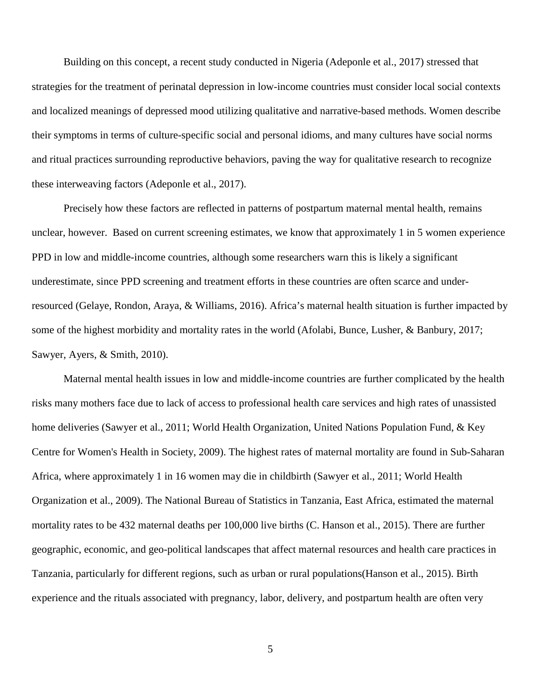Building on this concept, a recent study conducted in Nigeria (Adeponle et al., 2017) stressed that strategies for the treatment of perinatal depression in low-income countries must consider local social contexts and localized meanings of depressed mood utilizing qualitative and narrative-based methods. Women describe their symptoms in terms of culture-specific social and personal idioms, and many cultures have social norms and ritual practices surrounding reproductive behaviors, paving the way for qualitative research to recognize these interweaving factors (Adeponle et al., 2017).

Precisely how these factors are reflected in patterns of postpartum maternal mental health, remains unclear, however. Based on current screening estimates, we know that approximately 1 in 5 women experience PPD in low and middle-income countries, although some researchers warn this is likely a significant underestimate, since PPD screening and treatment efforts in these countries are often scarce and underresourced (Gelaye, Rondon, Araya, & Williams, 2016). Africa's maternal health situation is further impacted by some of the highest morbidity and mortality rates in the world (Afolabi, Bunce, Lusher, & Banbury, 2017; Sawyer, Ayers, & Smith, 2010).

Maternal mental health issues in low and middle-income countries are further complicated by the health risks many mothers face due to lack of access to professional health care services and high rates of unassisted home deliveries (Sawyer et al., 2011; World Health Organization, United Nations Population Fund, & Key Centre for Women's Health in Society, 2009). The highest rates of maternal mortality are found in Sub-Saharan Africa, where approximately 1 in 16 women may die in childbirth (Sawyer et al., 2011; World Health Organization et al., 2009). The National Bureau of Statistics in Tanzania, East Africa, estimated the maternal mortality rates to be 432 maternal deaths per 100,000 live births (C. Hanson et al., 2015). There are further geographic, economic, and geo-political landscapes that affect maternal resources and health care practices in Tanzania, particularly for different regions, such as urban or rural populations(Hanson et al., 2015). Birth experience and the rituals associated with pregnancy, labor, delivery, and postpartum health are often very

5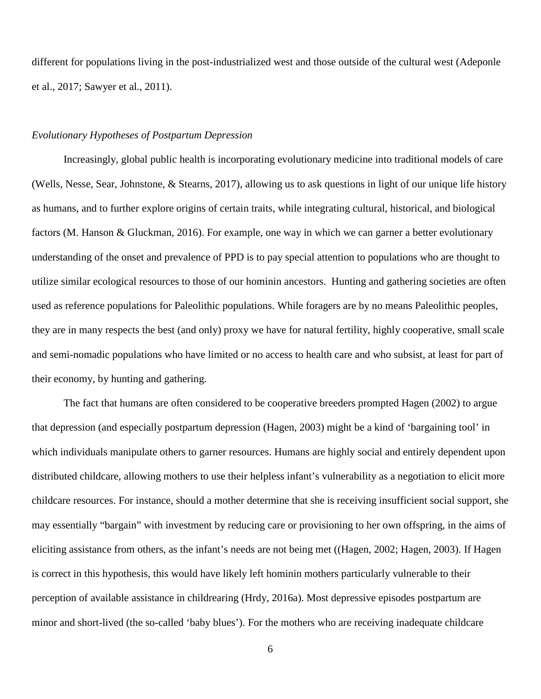different for populations living in the post-industrialized west and those outside of the cultural west (Adeponle et al., 2017; Sawyer et al., 2011).

#### *Evolutionary Hypotheses of Postpartum Depression*

Increasingly, global public health is incorporating evolutionary medicine into traditional models of care (Wells, Nesse, Sear, Johnstone, & Stearns, 2017), allowing us to ask questions in light of our unique life history as humans, and to further explore origins of certain traits, while integrating cultural, historical, and biological factors (M. Hanson & Gluckman, 2016). For example, one way in which we can garner a better evolutionary understanding of the onset and prevalence of PPD is to pay special attention to populations who are thought to utilize similar ecological resources to those of our hominin ancestors. Hunting and gathering societies are often used as reference populations for Paleolithic populations. While foragers are by no means Paleolithic peoples, they are in many respects the best (and only) proxy we have for natural fertility, highly cooperative, small scale and semi-nomadic populations who have limited or no access to health care and who subsist, at least for part of their economy, by hunting and gathering.

The fact that humans are often considered to be cooperative breeders prompted Hagen (2002) to argue that depression (and especially postpartum depression (Hagen, 2003) might be a kind of 'bargaining tool' in which individuals manipulate others to garner resources. Humans are highly social and entirely dependent upon distributed childcare, allowing mothers to use their helpless infant's vulnerability as a negotiation to elicit more childcare resources. For instance, should a mother determine that she is receiving insufficient social support, she may essentially "bargain" with investment by reducing care or provisioning to her own offspring, in the aims of eliciting assistance from others, as the infant's needs are not being met ((Hagen, 2002; Hagen, 2003). If Hagen is correct in this hypothesis, this would have likely left hominin mothers particularly vulnerable to their perception of available assistance in childrearing (Hrdy, 2016a). Most depressive episodes postpartum are minor and short-lived (the so-called 'baby blues'). For the mothers who are receiving inadequate childcare

6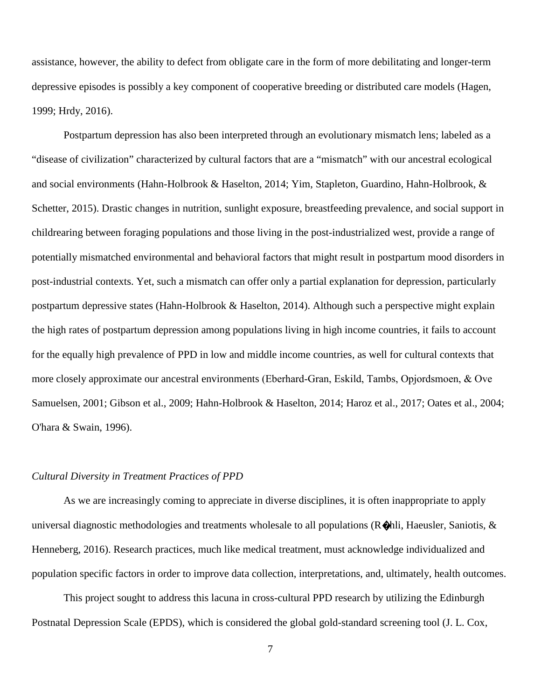assistance, however, the ability to defect from obligate care in the form of more debilitating and longer-term depressive episodes is possibly a key component of cooperative breeding or distributed care models (Hagen, 1999; Hrdy, 2016).

Postpartum depression has also been interpreted through an evolutionary mismatch lens; labeled as a "disease of civilization" characterized by cultural factors that are a "mismatch" with our ancestral ecological and social environments (Hahn-Holbrook & Haselton, 2014; Yim, Stapleton, Guardino, Hahn-Holbrook, & Schetter, 2015). Drastic changes in nutrition, sunlight exposure, breastfeeding prevalence, and social support in childrearing between foraging populations and those living in the post-industrialized west, provide a range of potentially mismatched environmental and behavioral factors that might result in postpartum mood disorders in post-industrial contexts. Yet, such a mismatch can offer only a partial explanation for depression, particularly postpartum depressive states (Hahn-Holbrook & Haselton, 2014). Although such a perspective might explain the high rates of postpartum depression among populations living in high income countries, it fails to account for the equally high prevalence of PPD in low and middle income countries, as well for cultural contexts that more closely approximate our ancestral environments (Eberhard‐Gran, Eskild, Tambs, Opjordsmoen, & Ove Samuelsen, 2001; Gibson et al., 2009; Hahn-Holbrook & Haselton, 2014; Haroz et al., 2017; Oates et al., 2004; O'hara & Swain, 1996).

#### *Cultural Diversity in Treatment Practices of PPD*

As we are increasingly coming to appreciate in diverse disciplines, it is often inappropriate to apply universal diagnostic methodologies and treatments wholesale to all populations ( $\mathbb{R}\triangleleft$ hli, Haeusler, Saniotis,  $\&$ Henneberg, 2016). Research practices, much like medical treatment, must acknowledge individualized and population specific factors in order to improve data collection, interpretations, and, ultimately, health outcomes.

This project sought to address this lacuna in cross-cultural PPD research by utilizing the Edinburgh Postnatal Depression Scale (EPDS), which is considered the global gold-standard screening tool (J. L. Cox,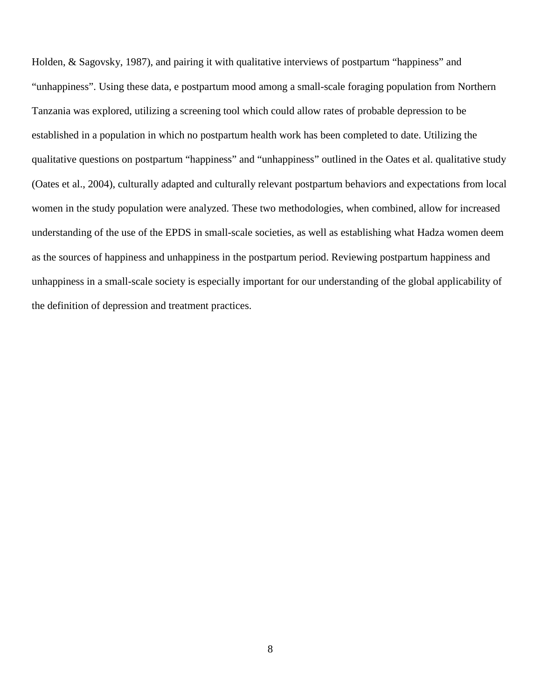Holden, & Sagovsky, 1987), and pairing it with qualitative interviews of postpartum "happiness" and "unhappiness". Using these data, e postpartum mood among a small-scale foraging population from Northern Tanzania was explored, utilizing a screening tool which could allow rates of probable depression to be established in a population in which no postpartum health work has been completed to date. Utilizing the qualitative questions on postpartum "happiness" and "unhappiness" outlined in the Oates et al. qualitative study (Oates et al., 2004), culturally adapted and culturally relevant postpartum behaviors and expectations from local women in the study population were analyzed. These two methodologies, when combined, allow for increased understanding of the use of the EPDS in small-scale societies, as well as establishing what Hadza women deem as the sources of happiness and unhappiness in the postpartum period. Reviewing postpartum happiness and unhappiness in a small-scale society is especially important for our understanding of the global applicability of the definition of depression and treatment practices.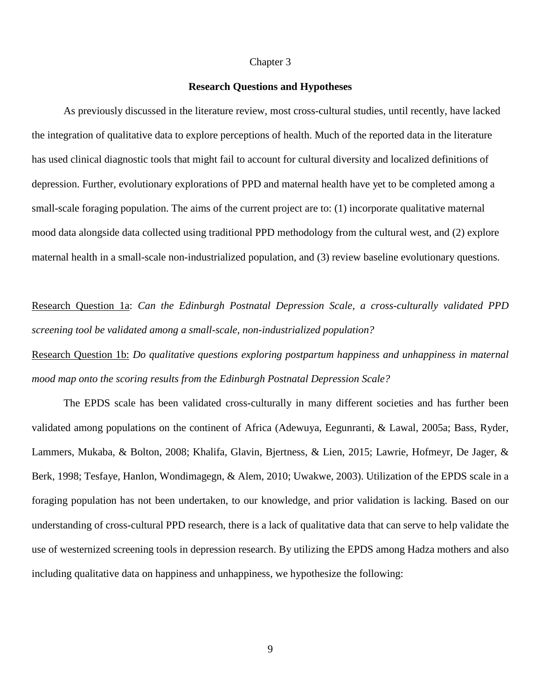#### Chapter 3

#### **Research Questions and Hypotheses**

As previously discussed in the literature review, most cross-cultural studies, until recently, have lacked the integration of qualitative data to explore perceptions of health. Much of the reported data in the literature has used clinical diagnostic tools that might fail to account for cultural diversity and localized definitions of depression. Further, evolutionary explorations of PPD and maternal health have yet to be completed among a small-scale foraging population. The aims of the current project are to: (1) incorporate qualitative maternal mood data alongside data collected using traditional PPD methodology from the cultural west, and (2) explore maternal health in a small-scale non-industrialized population, and (3) review baseline evolutionary questions.

Research Question 1a: *Can the Edinburgh Postnatal Depression Scale, a cross-culturally validated PPD screening tool be validated among a small-scale, non-industrialized population?*

Research Question 1b: *Do qualitative questions exploring postpartum happiness and unhappiness in maternal mood map onto the scoring results from the Edinburgh Postnatal Depression Scale?*

The EPDS scale has been validated cross-culturally in many different societies and has further been validated among populations on the continent of Africa (Adewuya, Eegunranti, & Lawal, 2005a; Bass, Ryder, Lammers, Mukaba, & Bolton, 2008; Khalifa, Glavin, Bjertness, & Lien, 2015; Lawrie, Hofmeyr, De Jager, & Berk, 1998; Tesfaye, Hanlon, Wondimagegn, & Alem, 2010; Uwakwe, 2003). Utilization of the EPDS scale in a foraging population has not been undertaken, to our knowledge, and prior validation is lacking. Based on our understanding of cross-cultural PPD research, there is a lack of qualitative data that can serve to help validate the use of westernized screening tools in depression research. By utilizing the EPDS among Hadza mothers and also including qualitative data on happiness and unhappiness, we hypothesize the following: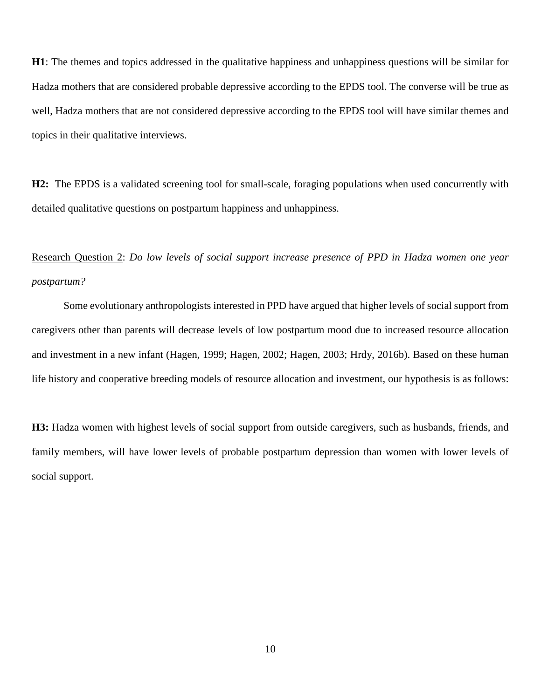**H1**: The themes and topics addressed in the qualitative happiness and unhappiness questions will be similar for Hadza mothers that are considered probable depressive according to the EPDS tool. The converse will be true as well, Hadza mothers that are not considered depressive according to the EPDS tool will have similar themes and topics in their qualitative interviews.

**H2:** The EPDS is a validated screening tool for small-scale, foraging populations when used concurrently with detailed qualitative questions on postpartum happiness and unhappiness.

Research Question 2: *Do low levels of social support increase presence of PPD in Hadza women one year postpartum?* 

Some evolutionary anthropologists interested in PPD have argued that higher levels of social support from caregivers other than parents will decrease levels of low postpartum mood due to increased resource allocation and investment in a new infant (Hagen, 1999; Hagen, 2002; Hagen, 2003; Hrdy, 2016b). Based on these human life history and cooperative breeding models of resource allocation and investment, our hypothesis is as follows:

**H3:** Hadza women with highest levels of social support from outside caregivers, such as husbands, friends, and family members, will have lower levels of probable postpartum depression than women with lower levels of social support.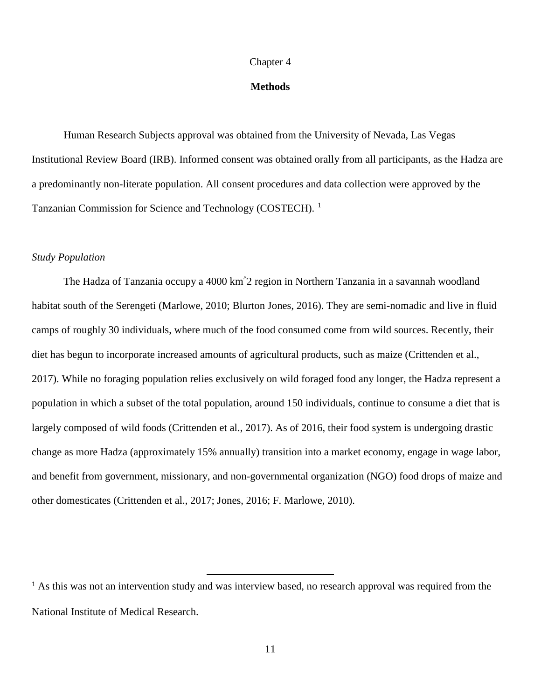#### Chapter 4

#### **Methods**

Human Research Subjects approval was obtained from the University of Nevada, Las Vegas Institutional Review Board (IRB). Informed consent was obtained orally from all participants, as the Hadza are a predominantly non-literate population. All consent procedures and data collection were approved by the Tanzanian Commission for Science and Technology (COSTECH). [1](#page-19-0)

#### *Study Population*

The Hadza of Tanzania occupy a 4000 km^ 2 region in Northern Tanzania in a savannah woodland habitat south of the Serengeti (Marlowe, 2010; Blurton Jones, 2016). They are semi-nomadic and live in fluid camps of roughly 30 individuals, where much of the food consumed come from wild sources. Recently, their diet has begun to incorporate increased amounts of agricultural products, such as maize (Crittenden et al., 2017). While no foraging population relies exclusively on wild foraged food any longer, the Hadza represent a population in which a subset of the total population, around 150 individuals, continue to consume a diet that is largely composed of wild foods (Crittenden et al., 2017). As of 2016, their food system is undergoing drastic change as more Hadza (approximately 15% annually) transition into a market economy, engage in wage labor, and benefit from government, missionary, and non-governmental organization (NGO) food drops of maize and other domesticates (Crittenden et al., 2017; Jones, 2016; F. Marlowe, 2010).

<span id="page-19-0"></span><sup>&</sup>lt;sup>1</sup> As this was not an intervention study and was interview based, no research approval was required from the National Institute of Medical Research.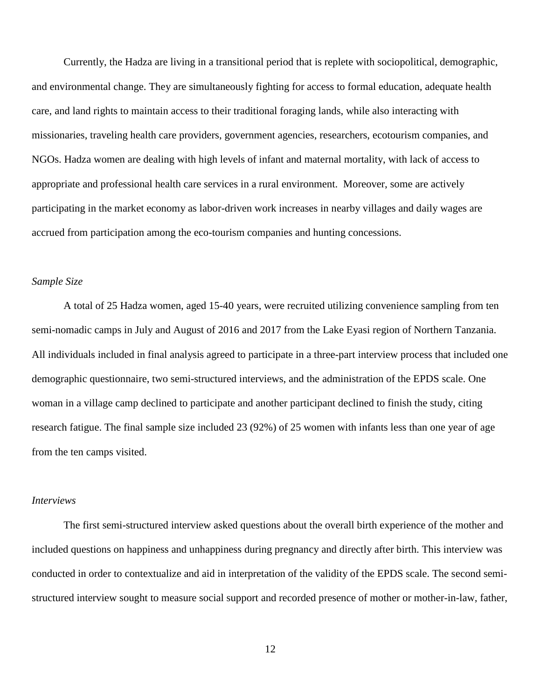Currently, the Hadza are living in a transitional period that is replete with sociopolitical, demographic, and environmental change. They are simultaneously fighting for access to formal education, adequate health care, and land rights to maintain access to their traditional foraging lands, while also interacting with missionaries, traveling health care providers, government agencies, researchers, ecotourism companies, and NGOs. Hadza women are dealing with high levels of infant and maternal mortality, with lack of access to appropriate and professional health care services in a rural environment. Moreover, some are actively participating in the market economy as labor-driven work increases in nearby villages and daily wages are accrued from participation among the eco-tourism companies and hunting concessions.

#### *Sample Size*

A total of 25 Hadza women, aged 15-40 years, were recruited utilizing convenience sampling from ten semi-nomadic camps in July and August of 2016 and 2017 from the Lake Eyasi region of Northern Tanzania. All individuals included in final analysis agreed to participate in a three-part interview process that included one demographic questionnaire, two semi-structured interviews, and the administration of the EPDS scale. One woman in a village camp declined to participate and another participant declined to finish the study, citing research fatigue. The final sample size included 23 (92%) of 25 women with infants less than one year of age from the ten camps visited.

#### *Interviews*

The first semi-structured interview asked questions about the overall birth experience of the mother and included questions on happiness and unhappiness during pregnancy and directly after birth. This interview was conducted in order to contextualize and aid in interpretation of the validity of the EPDS scale. The second semistructured interview sought to measure social support and recorded presence of mother or mother-in-law, father,

12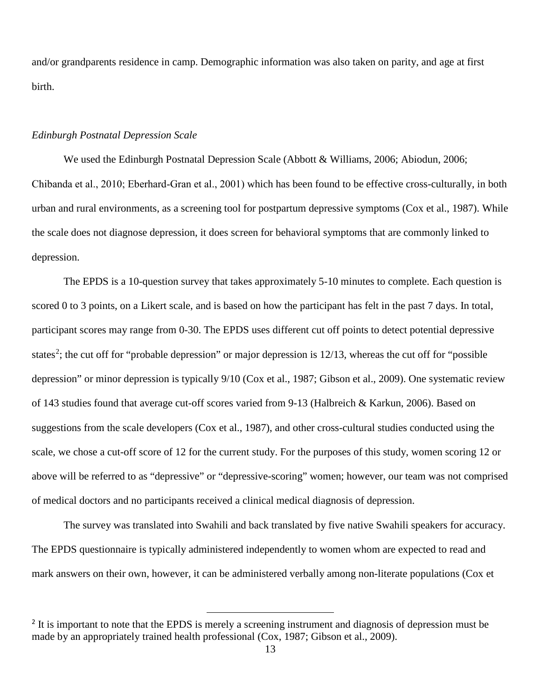and/or grandparents residence in camp. Demographic information was also taken on parity, and age at first birth.

## *Edinburgh Postnatal Depression Scale*

We used the Edinburgh Postnatal Depression Scale (Abbott & Williams, 2006; Abiodun, 2006; Chibanda et al., 2010; Eberhard‐Gran et al., 2001) which has been found to be effective cross-culturally, in both urban and rural environments, as a screening tool for postpartum depressive symptoms (Cox et al., 1987). While the scale does not diagnose depression, it does screen for behavioral symptoms that are commonly linked to depression.

The EPDS is a 10-question survey that takes approximately 5-10 minutes to complete. Each question is scored 0 to 3 points, on a Likert scale, and is based on how the participant has felt in the past 7 days. In total, participant scores may range from 0-30. The EPDS uses different cut off points to detect potential depressive states<sup>[2](#page-21-0)</sup>; the cut off for "probable depression" or major depression is  $12/13$ , whereas the cut off for "possible depression" or minor depression is typically 9/10 (Cox et al., 1987; Gibson et al., 2009). One systematic review of 143 studies found that average cut-off scores varied from 9-13 (Halbreich & Karkun, 2006). Based on suggestions from the scale developers (Cox et al., 1987), and other cross-cultural studies conducted using the scale, we chose a cut-off score of 12 for the current study. For the purposes of this study, women scoring 12 or above will be referred to as "depressive" or "depressive-scoring" women; however, our team was not comprised of medical doctors and no participants received a clinical medical diagnosis of depression.

The survey was translated into Swahili and back translated by five native Swahili speakers for accuracy. The EPDS questionnaire is typically administered independently to women whom are expected to read and mark answers on their own, however, it can be administered verbally among non-literate populations (Cox et

<span id="page-21-0"></span><sup>&</sup>lt;sup>2</sup> It is important to note that the EPDS is merely a screening instrument and diagnosis of depression must be made by an appropriately trained health professional (Cox, 1987; Gibson et al., 2009).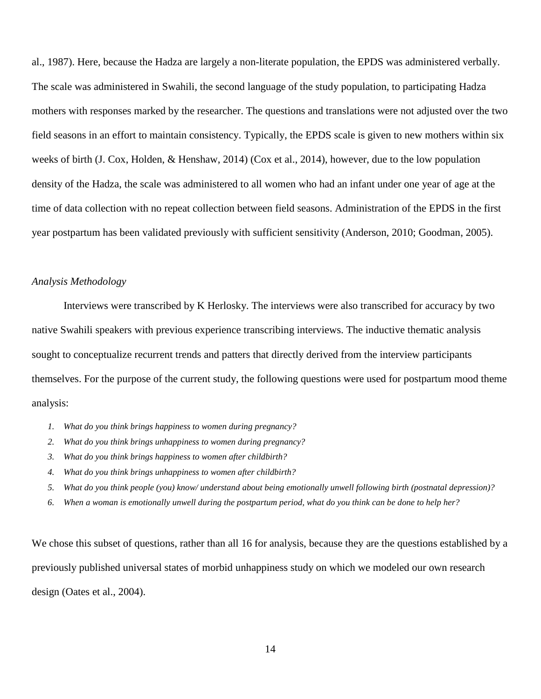al., 1987). Here, because the Hadza are largely a non-literate population, the EPDS was administered verbally. The scale was administered in Swahili, the second language of the study population, to participating Hadza mothers with responses marked by the researcher. The questions and translations were not adjusted over the two field seasons in an effort to maintain consistency. Typically, the EPDS scale is given to new mothers within six weeks of birth (J. Cox, Holden, & Henshaw, 2014) (Cox et al., 2014), however, due to the low population density of the Hadza, the scale was administered to all women who had an infant under one year of age at the time of data collection with no repeat collection between field seasons. Administration of the EPDS in the first year postpartum has been validated previously with sufficient sensitivity (Anderson, 2010; Goodman, 2005).

#### *Analysis Methodology*

Interviews were transcribed by K Herlosky. The interviews were also transcribed for accuracy by two native Swahili speakers with previous experience transcribing interviews. The inductive thematic analysis sought to conceptualize recurrent trends and patters that directly derived from the interview participants themselves. For the purpose of the current study, the following questions were used for postpartum mood theme analysis:

- *1. What do you think brings happiness to women during pregnancy?*
- *2. What do you think brings unhappiness to women during pregnancy?*
- *3. What do you think brings happiness to women after childbirth?*
- *4. What do you think brings unhappiness to women after childbirth?*
- *5. What do you think people (you) know/ understand about being emotionally unwell following birth (postnatal depression)?*
- *6. When a woman is emotionally unwell during the postpartum period, what do you think can be done to help her?*

We chose this subset of questions, rather than all 16 for analysis, because they are the questions established by a previously published universal states of morbid unhappiness study on which we modeled our own research design (Oates et al., 2004).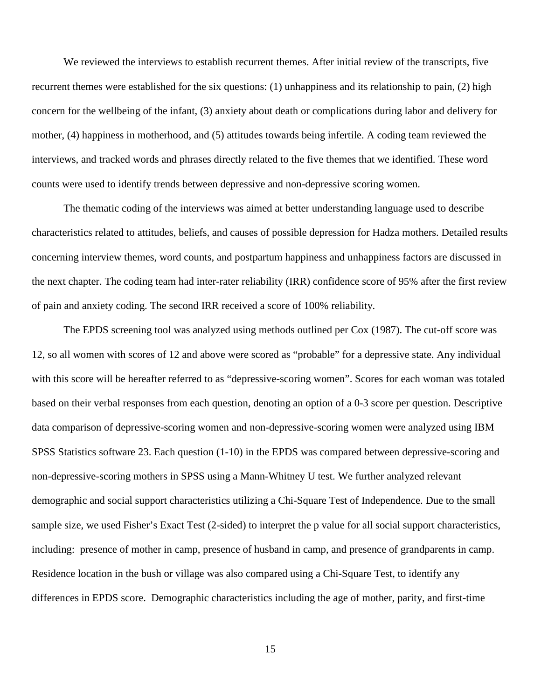We reviewed the interviews to establish recurrent themes. After initial review of the transcripts, five recurrent themes were established for the six questions: (1) unhappiness and its relationship to pain, (2) high concern for the wellbeing of the infant, (3) anxiety about death or complications during labor and delivery for mother, (4) happiness in motherhood, and (5) attitudes towards being infertile. A coding team reviewed the interviews, and tracked words and phrases directly related to the five themes that we identified. These word counts were used to identify trends between depressive and non-depressive scoring women.

The thematic coding of the interviews was aimed at better understanding language used to describe characteristics related to attitudes, beliefs, and causes of possible depression for Hadza mothers. Detailed results concerning interview themes, word counts, and postpartum happiness and unhappiness factors are discussed in the next chapter. The coding team had inter-rater reliability (IRR) confidence score of 95% after the first review of pain and anxiety coding. The second IRR received a score of 100% reliability.

The EPDS screening tool was analyzed using methods outlined per Cox (1987). The cut-off score was 12, so all women with scores of 12 and above were scored as "probable" for a depressive state. Any individual with this score will be hereafter referred to as "depressive-scoring women". Scores for each woman was totaled based on their verbal responses from each question, denoting an option of a 0-3 score per question. Descriptive data comparison of depressive-scoring women and non-depressive-scoring women were analyzed using IBM SPSS Statistics software 23. Each question (1-10) in the EPDS was compared between depressive-scoring and non-depressive-scoring mothers in SPSS using a Mann-Whitney U test. We further analyzed relevant demographic and social support characteristics utilizing a Chi-Square Test of Independence. Due to the small sample size, we used Fisher's Exact Test (2-sided) to interpret the p value for all social support characteristics, including: presence of mother in camp, presence of husband in camp, and presence of grandparents in camp. Residence location in the bush or village was also compared using a Chi-Square Test, to identify any differences in EPDS score. Demographic characteristics including the age of mother, parity, and first-time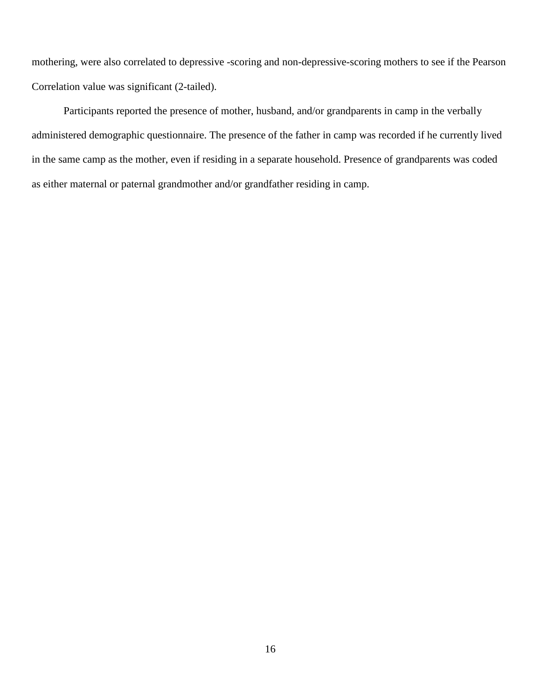mothering, were also correlated to depressive -scoring and non-depressive-scoring mothers to see if the Pearson Correlation value was significant (2-tailed).

Participants reported the presence of mother, husband, and/or grandparents in camp in the verbally administered demographic questionnaire. The presence of the father in camp was recorded if he currently lived in the same camp as the mother, even if residing in a separate household. Presence of grandparents was coded as either maternal or paternal grandmother and/or grandfather residing in camp.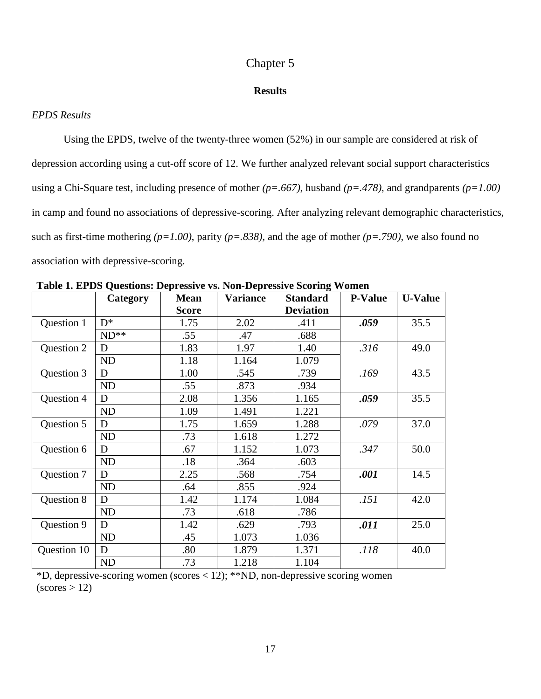## Chapter 5

#### **Results**

#### *EPDS Results*

Using the EPDS, twelve of the twenty-three women (52%) in our sample are considered at risk of depression according using a cut-off score of 12. We further analyzed relevant social support characteristics using a Chi-Square test, including presence of mother *(p=.667)*, husband *(p=.478)*, and grandparents *(p=1.00)* in camp and found no associations of depressive-scoring. After analyzing relevant demographic characteristics, such as first-time mothering *(p=1.00)*, parity *(p=.838)*, and the age of mother *(p=.790)*, we also found no association with depressive-scoring.

|             | Lable 1. Et Do Questions. Depressive vs. Ton-Depressive Scoring Women<br>Category | <b>Mean</b>  | <b>Variance</b> | <b>Standard</b>  | <b>P-Value</b> | <b>U-Value</b> |
|-------------|-----------------------------------------------------------------------------------|--------------|-----------------|------------------|----------------|----------------|
|             |                                                                                   | <b>Score</b> |                 | <b>Deviation</b> |                |                |
| Question 1  | $D^*$                                                                             | 1.75         | 2.02            | .411             | .059           | 35.5           |
|             | $ND**$                                                                            | .55          | .47             | .688             |                |                |
| Question 2  | D                                                                                 | 1.83         | 1.97            | 1.40             | .316           | 49.0           |
|             | ND                                                                                | 1.18         | 1.164           | 1.079            |                |                |
| Question 3  | D                                                                                 | 1.00         | .545            | .739             | .169           | 43.5           |
|             | ND                                                                                | .55          | .873            | .934             |                |                |
| Question 4  | D                                                                                 | 2.08         | 1.356           | 1.165            | .059           | 35.5           |
|             | ND                                                                                | 1.09         | 1.491           | 1.221            |                |                |
| Question 5  | D                                                                                 | 1.75         | 1.659           | 1.288            | .079           | 37.0           |
|             | <b>ND</b>                                                                         | .73          | 1.618           | 1.272            |                |                |
| Question 6  | D                                                                                 | .67          | 1.152           | 1.073            | .347           | 50.0           |
|             | ND                                                                                | .18          | .364            | .603             |                |                |
| Question 7  | D                                                                                 | 2.25         | .568            | .754             | .001           | 14.5           |
|             | ND                                                                                | .64          | .855            | .924             |                |                |
| Question 8  | D                                                                                 | 1.42         | 1.174           | 1.084            | .151           | 42.0           |
|             | ND                                                                                | .73          | .618            | .786             |                |                |
| Question 9  | D                                                                                 | 1.42         | .629            | .793             | .011           | 25.0           |
|             | ND                                                                                | .45          | 1.073           | 1.036            |                |                |
| Question 10 | D                                                                                 | .80          | 1.879           | 1.371            | .118           | 40.0           |
|             | ND                                                                                | .73          | 1.218           | 1.104            |                |                |

**Table 1. EPDS Questions: Depressive vs. Non-Depressive Scoring Women**

\*D, depressive-scoring women (scores < 12); \*\*ND, non-depressive scoring women  $(scores > 12)$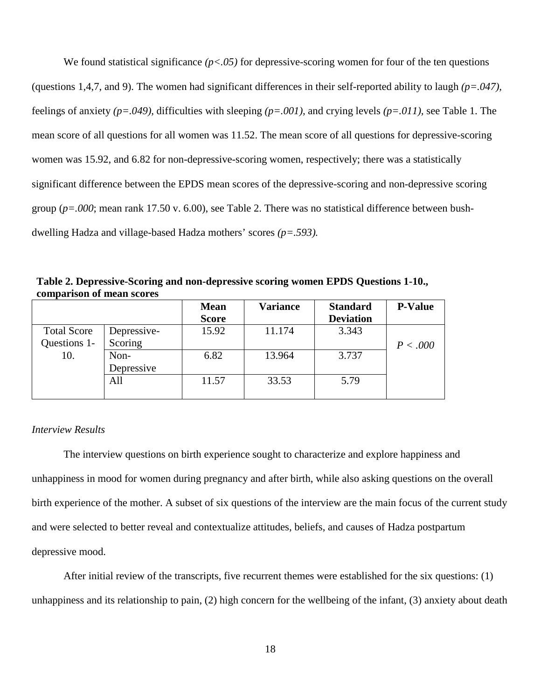We found statistical significance *(p<.05)* for depressive-scoring women for four of the ten questions (questions 1,4,7, and 9). The women had significant differences in their self-reported ability to laugh *(p=.047),*  feelings of anxiety *(p=.049),* difficulties with sleeping *(p=.001),* and crying levels *(p=.011),* see Table 1. The mean score of all questions for all women was 11.52. The mean score of all questions for depressive-scoring women was 15.92, and 6.82 for non-depressive-scoring women, respectively; there was a statistically significant difference between the EPDS mean scores of the depressive-scoring and non-depressive scoring group (*p=.000*; mean rank 17.50 v. 6.00), see Table 2. There was no statistical difference between bushdwelling Hadza and village-based Hadza mothers' scores *(p=.593).*

|                    |             | <b>Mean</b><br><b>Score</b> | <b>Variance</b> | <b>Standard</b><br><b>Deviation</b> | <b>P-Value</b> |
|--------------------|-------------|-----------------------------|-----------------|-------------------------------------|----------------|
| <b>Total Score</b> | Depressive- | 15.92                       | 11.174          | 3.343                               |                |
| Questions 1-       | Scoring     |                             |                 |                                     | P < .000       |
| 10.                | Non-        | 6.82                        | 13.964          | 3.737                               |                |
|                    | Depressive  |                             |                 |                                     |                |
|                    | All         | 11.57                       | 33.53           | 5.79                                |                |
|                    |             |                             |                 |                                     |                |

**Table 2. Depressive-Scoring and non-depressive scoring women EPDS Questions 1-10., comparison of mean scores**

#### *Interview Results*

The interview questions on birth experience sought to characterize and explore happiness and unhappiness in mood for women during pregnancy and after birth, while also asking questions on the overall birth experience of the mother. A subset of six questions of the interview are the main focus of the current study and were selected to better reveal and contextualize attitudes, beliefs, and causes of Hadza postpartum depressive mood.

After initial review of the transcripts, five recurrent themes were established for the six questions: (1) unhappiness and its relationship to pain, (2) high concern for the wellbeing of the infant, (3) anxiety about death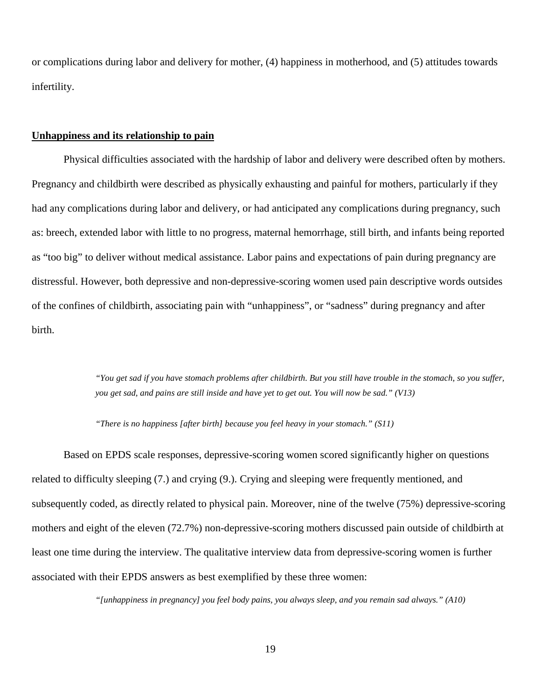or complications during labor and delivery for mother, (4) happiness in motherhood, and (5) attitudes towards infertility.

#### **Unhappiness and its relationship to pain**

Physical difficulties associated with the hardship of labor and delivery were described often by mothers. Pregnancy and childbirth were described as physically exhausting and painful for mothers, particularly if they had any complications during labor and delivery, or had anticipated any complications during pregnancy, such as: breech, extended labor with little to no progress, maternal hemorrhage, still birth, and infants being reported as "too big" to deliver without medical assistance. Labor pains and expectations of pain during pregnancy are distressful. However, both depressive and non-depressive-scoring women used pain descriptive words outsides of the confines of childbirth, associating pain with "unhappiness", or "sadness" during pregnancy and after birth.

> *"You get sad if you have stomach problems after childbirth. But you still have trouble in the stomach, so you suffer, you get sad, and pains are still inside and have yet to get out. You will now be sad." (V13)*

*"There is no happiness [after birth] because you feel heavy in your stomach." (S11)*

Based on EPDS scale responses, depressive-scoring women scored significantly higher on questions related to difficulty sleeping (7.) and crying (9.). Crying and sleeping were frequently mentioned, and subsequently coded, as directly related to physical pain. Moreover, nine of the twelve (75%) depressive-scoring mothers and eight of the eleven (72.7%) non-depressive-scoring mothers discussed pain outside of childbirth at least one time during the interview. The qualitative interview data from depressive-scoring women is further associated with their EPDS answers as best exemplified by these three women:

*"[unhappiness in pregnancy] you feel body pains, you always sleep, and you remain sad always." (A10)*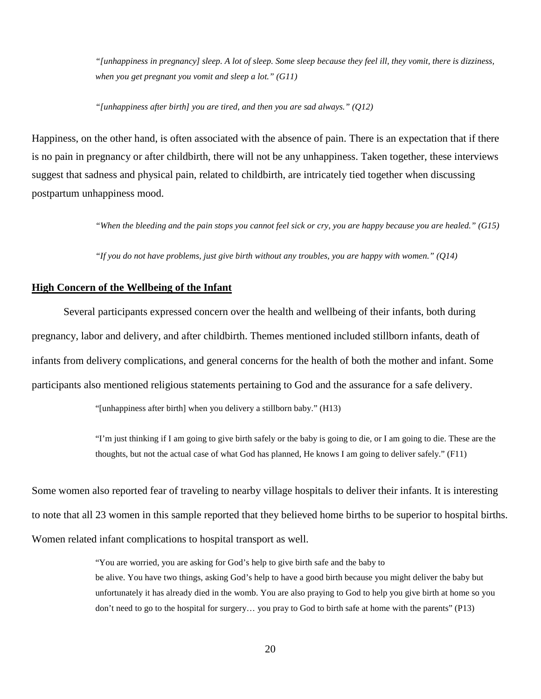*"[unhappiness in pregnancy] sleep. A lot of sleep. Some sleep because they feel ill, they vomit, there is dizziness, when you get pregnant you vomit and sleep a lot." (G11)*

*"[unhappiness after birth] you are tired, and then you are sad always." (Q12)*

Happiness, on the other hand, is often associated with the absence of pain. There is an expectation that if there is no pain in pregnancy or after childbirth, there will not be any unhappiness. Taken together, these interviews suggest that sadness and physical pain, related to childbirth, are intricately tied together when discussing postpartum unhappiness mood.

*"When the bleeding and the pain stops you cannot feel sick or cry, you are happy because you are healed." (G15)*

*"If you do not have problems, just give birth without any troubles, you are happy with women." (Q14)*

#### **High Concern of the Wellbeing of the Infant**

Several participants expressed concern over the health and wellbeing of their infants, both during pregnancy, labor and delivery, and after childbirth. Themes mentioned included stillborn infants, death of infants from delivery complications, and general concerns for the health of both the mother and infant. Some participants also mentioned religious statements pertaining to God and the assurance for a safe delivery.

"[unhappiness after birth] when you delivery a stillborn baby." (H13)

"I'm just thinking if I am going to give birth safely or the baby is going to die, or I am going to die. These are the thoughts, but not the actual case of what God has planned, He knows I am going to deliver safely." (F11)

Some women also reported fear of traveling to nearby village hospitals to deliver their infants. It is interesting to note that all 23 women in this sample reported that they believed home births to be superior to hospital births. Women related infant complications to hospital transport as well.

> "You are worried, you are asking for God's help to give birth safe and the baby to be alive. You have two things, asking God's help to have a good birth because you might deliver the baby but unfortunately it has already died in the womb. You are also praying to God to help you give birth at home so you don't need to go to the hospital for surgery… you pray to God to birth safe at home with the parents" (P13)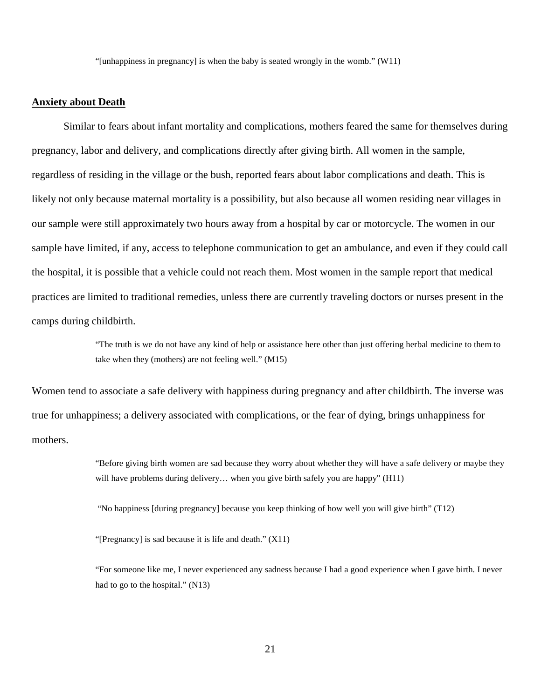"[unhappiness in pregnancy] is when the baby is seated wrongly in the womb." (W11)

#### **Anxiety about Death**

Similar to fears about infant mortality and complications, mothers feared the same for themselves during pregnancy, labor and delivery, and complications directly after giving birth. All women in the sample, regardless of residing in the village or the bush, reported fears about labor complications and death. This is likely not only because maternal mortality is a possibility, but also because all women residing near villages in our sample were still approximately two hours away from a hospital by car or motorcycle. The women in our sample have limited, if any, access to telephone communication to get an ambulance, and even if they could call the hospital, it is possible that a vehicle could not reach them. Most women in the sample report that medical practices are limited to traditional remedies, unless there are currently traveling doctors or nurses present in the camps during childbirth.

> "The truth is we do not have any kind of help or assistance here other than just offering herbal medicine to them to take when they (mothers) are not feeling well." (M15)

Women tend to associate a safe delivery with happiness during pregnancy and after childbirth. The inverse was true for unhappiness; a delivery associated with complications, or the fear of dying, brings unhappiness for mothers.

> "Before giving birth women are sad because they worry about whether they will have a safe delivery or maybe they will have problems during delivery… when you give birth safely you are happy" (H11)

"No happiness [during pregnancy] because you keep thinking of how well you will give birth" (T12)

"[Pregnancy] is sad because it is life and death." (X11)

"For someone like me, I never experienced any sadness because I had a good experience when I gave birth. I never had to go to the hospital." (N13)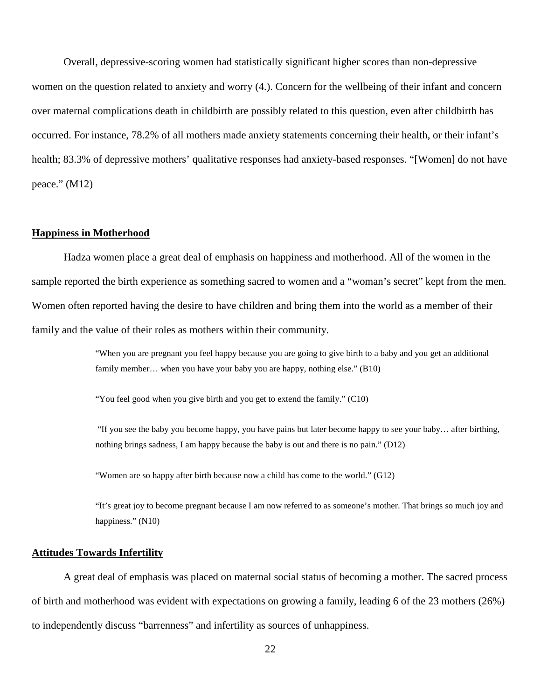Overall, depressive-scoring women had statistically significant higher scores than non-depressive women on the question related to anxiety and worry (4.). Concern for the wellbeing of their infant and concern over maternal complications death in childbirth are possibly related to this question, even after childbirth has occurred. For instance, 78.2% of all mothers made anxiety statements concerning their health, or their infant's health; 83.3% of depressive mothers' qualitative responses had anxiety-based responses. "[Women] do not have peace." (M12)

#### **Happiness in Motherhood**

Hadza women place a great deal of emphasis on happiness and motherhood. All of the women in the sample reported the birth experience as something sacred to women and a "woman's secret" kept from the men. Women often reported having the desire to have children and bring them into the world as a member of their family and the value of their roles as mothers within their community.

> "When you are pregnant you feel happy because you are going to give birth to a baby and you get an additional family member... when you have your baby you are happy, nothing else." (B10)

"You feel good when you give birth and you get to extend the family." (C10)

"If you see the baby you become happy, you have pains but later become happy to see your baby… after birthing, nothing brings sadness, I am happy because the baby is out and there is no pain." (D12)

"Women are so happy after birth because now a child has come to the world." (G12)

"It's great joy to become pregnant because I am now referred to as someone's mother. That brings so much joy and happiness." (N10)

#### **Attitudes Towards Infertility**

A great deal of emphasis was placed on maternal social status of becoming a mother. The sacred process of birth and motherhood was evident with expectations on growing a family, leading 6 of the 23 mothers (26%) to independently discuss "barrenness" and infertility as sources of unhappiness.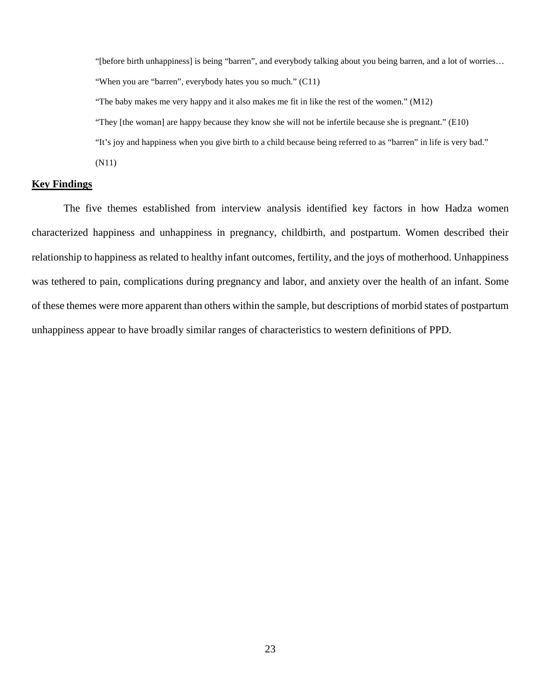"[before birth unhappiness] is being "barren", and everybody talking about you being barren, and a lot of worries… "When you are "barren", everybody hates you so much." (C11)

"The baby makes me very happy and it also makes me fit in like the rest of the women." (M12)

"They [the woman] are happy because they know she will not be infertile because she is pregnant." (E10)

"It's joy and happiness when you give birth to a child because being referred to as "barren" in life is very bad."

(N11)

#### **Key Findings**

The five themes established from interview analysis identified key factors in how Hadza women characterized happiness and unhappiness in pregnancy, childbirth, and postpartum. Women described their relationship to happiness as related to healthy infant outcomes, fertility, and the joys of motherhood. Unhappiness was tethered to pain, complications during pregnancy and labor, and anxiety over the health of an infant. Some of these themes were more apparent than others within the sample, but descriptions of morbid states of postpartum unhappiness appear to have broadly similar ranges of characteristics to western definitions of PPD.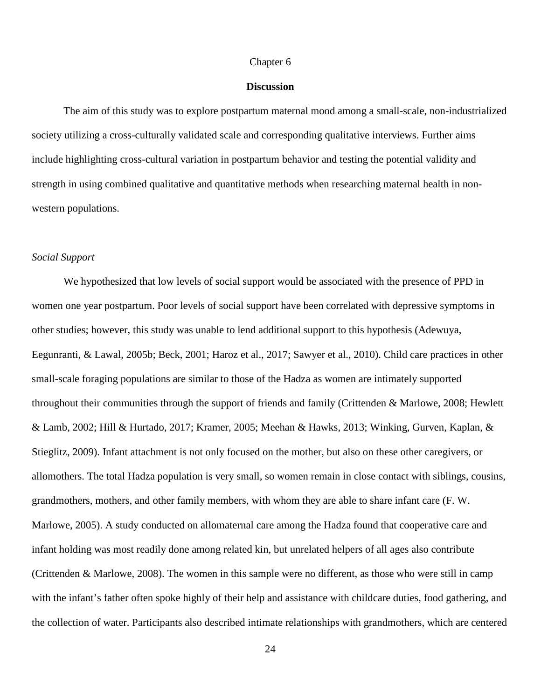#### Chapter 6

#### **Discussion**

The aim of this study was to explore postpartum maternal mood among a small-scale, non-industrialized society utilizing a cross-culturally validated scale and corresponding qualitative interviews. Further aims include highlighting cross-cultural variation in postpartum behavior and testing the potential validity and strength in using combined qualitative and quantitative methods when researching maternal health in nonwestern populations.

#### *Social Support*

We hypothesized that low levels of social support would be associated with the presence of PPD in women one year postpartum. Poor levels of social support have been correlated with depressive symptoms in other studies; however, this study was unable to lend additional support to this hypothesis (Adewuya, Eegunranti, & Lawal, 2005b; Beck, 2001; Haroz et al., 2017; Sawyer et al., 2010). Child care practices in other small-scale foraging populations are similar to those of the Hadza as women are intimately supported throughout their communities through the support of friends and family (Crittenden & Marlowe, 2008; Hewlett & Lamb, 2002; Hill & Hurtado, 2017; Kramer, 2005; Meehan & Hawks, 2013; Winking, Gurven, Kaplan, & Stieglitz, 2009). Infant attachment is not only focused on the mother, but also on these other caregivers, or allomothers. The total Hadza population is very small, so women remain in close contact with siblings, cousins, grandmothers, mothers, and other family members, with whom they are able to share infant care (F. W. Marlowe, 2005). A study conducted on allomaternal care among the Hadza found that cooperative care and infant holding was most readily done among related kin, but unrelated helpers of all ages also contribute (Crittenden & Marlowe, 2008). The women in this sample were no different, as those who were still in camp with the infant's father often spoke highly of their help and assistance with childcare duties, food gathering, and the collection of water. Participants also described intimate relationships with grandmothers, which are centered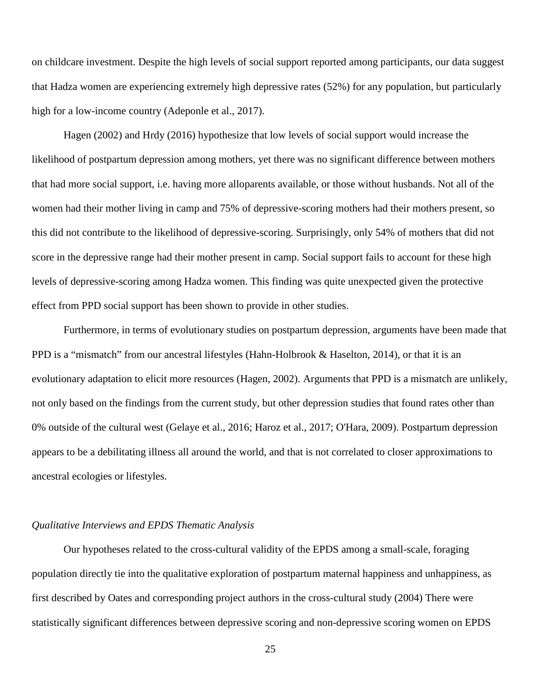on childcare investment. Despite the high levels of social support reported among participants, our data suggest that Hadza women are experiencing extremely high depressive rates (52%) for any population, but particularly high for a low-income country (Adeponle et al., 2017).

Hagen (2002) and Hrdy (2016) hypothesize that low levels of social support would increase the likelihood of postpartum depression among mothers, yet there was no significant difference between mothers that had more social support, i.e. having more alloparents available, or those without husbands. Not all of the women had their mother living in camp and 75% of depressive-scoring mothers had their mothers present, so this did not contribute to the likelihood of depressive-scoring. Surprisingly, only 54% of mothers that did not score in the depressive range had their mother present in camp. Social support fails to account for these high levels of depressive-scoring among Hadza women. This finding was quite unexpected given the protective effect from PPD social support has been shown to provide in other studies.

Furthermore, in terms of evolutionary studies on postpartum depression, arguments have been made that PPD is a "mismatch" from our ancestral lifestyles (Hahn-Holbrook & Haselton, 2014), or that it is an evolutionary adaptation to elicit more resources (Hagen, 2002). Arguments that PPD is a mismatch are unlikely, not only based on the findings from the current study, but other depression studies that found rates other than 0% outside of the cultural west (Gelaye et al., 2016; Haroz et al., 2017; O'Hara, 2009). Postpartum depression appears to be a debilitating illness all around the world, and that is not correlated to closer approximations to ancestral ecologies or lifestyles.

#### *Qualitative Interviews and EPDS Thematic Analysis*

Our hypotheses related to the cross-cultural validity of the EPDS among a small-scale, foraging population directly tie into the qualitative exploration of postpartum maternal happiness and unhappiness, as first described by Oates and corresponding project authors in the cross-cultural study (2004) There were statistically significant differences between depressive scoring and non-depressive scoring women on EPDS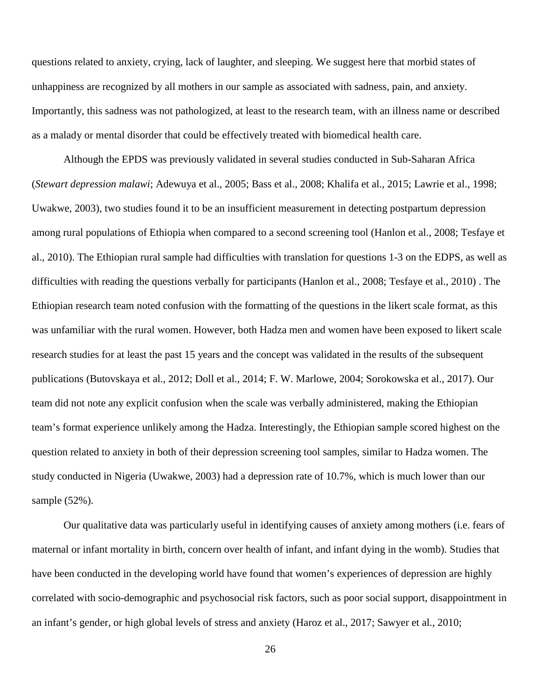questions related to anxiety, crying, lack of laughter, and sleeping. We suggest here that morbid states of unhappiness are recognized by all mothers in our sample as associated with sadness, pain, and anxiety. Importantly, this sadness was not pathologized, at least to the research team, with an illness name or described as a malady or mental disorder that could be effectively treated with biomedical health care.

Although the EPDS was previously validated in several studies conducted in Sub-Saharan Africa (*Stewart depression malawi*; Adewuya et al., 2005; Bass et al., 2008; Khalifa et al., 2015; Lawrie et al., 1998; Uwakwe, 2003), two studies found it to be an insufficient measurement in detecting postpartum depression among rural populations of Ethiopia when compared to a second screening tool (Hanlon et al., 2008; Tesfaye et al., 2010). The Ethiopian rural sample had difficulties with translation for questions 1-3 on the EDPS, as well as difficulties with reading the questions verbally for participants (Hanlon et al., 2008; Tesfaye et al., 2010) . The Ethiopian research team noted confusion with the formatting of the questions in the likert scale format, as this was unfamiliar with the rural women. However, both Hadza men and women have been exposed to likert scale research studies for at least the past 15 years and the concept was validated in the results of the subsequent publications (Butovskaya et al., 2012; Doll et al., 2014; F. W. Marlowe, 2004; Sorokowska et al., 2017). Our team did not note any explicit confusion when the scale was verbally administered, making the Ethiopian team's format experience unlikely among the Hadza. Interestingly, the Ethiopian sample scored highest on the question related to anxiety in both of their depression screening tool samples, similar to Hadza women. The study conducted in Nigeria (Uwakwe, 2003) had a depression rate of 10.7%, which is much lower than our sample (52%).

Our qualitative data was particularly useful in identifying causes of anxiety among mothers (i.e. fears of maternal or infant mortality in birth, concern over health of infant, and infant dying in the womb). Studies that have been conducted in the developing world have found that women's experiences of depression are highly correlated with socio-demographic and psychosocial risk factors, such as poor social support, disappointment in an infant's gender, or high global levels of stress and anxiety (Haroz et al., 2017; Sawyer et al., 2010;

26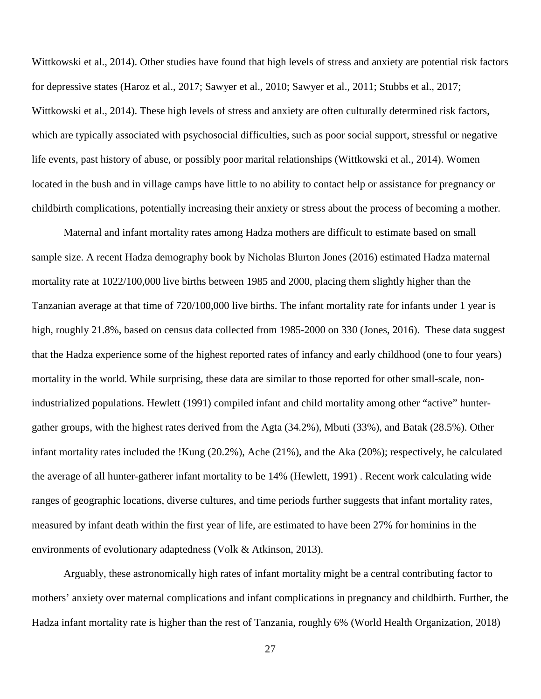Wittkowski et al., 2014). Other studies have found that high levels of stress and anxiety are potential risk factors for depressive states (Haroz et al., 2017; Sawyer et al., 2010; Sawyer et al., 2011; Stubbs et al., 2017; Wittkowski et al., 2014). These high levels of stress and anxiety are often culturally determined risk factors, which are typically associated with psychosocial difficulties, such as poor social support, stressful or negative life events, past history of abuse, or possibly poor marital relationships (Wittkowski et al., 2014). Women located in the bush and in village camps have little to no ability to contact help or assistance for pregnancy or childbirth complications, potentially increasing their anxiety or stress about the process of becoming a mother.

Maternal and infant mortality rates among Hadza mothers are difficult to estimate based on small sample size. A recent Hadza demography book by Nicholas Blurton Jones (2016) estimated Hadza maternal mortality rate at 1022/100,000 live births between 1985 and 2000, placing them slightly higher than the Tanzanian average at that time of 720/100,000 live births. The infant mortality rate for infants under 1 year is high, roughly 21.8%, based on census data collected from 1985-2000 on 330 (Jones, 2016). These data suggest that the Hadza experience some of the highest reported rates of infancy and early childhood (one to four years) mortality in the world. While surprising, these data are similar to those reported for other small-scale, nonindustrialized populations. Hewlett (1991) compiled infant and child mortality among other "active" huntergather groups, with the highest rates derived from the Agta (34.2%), Mbuti (33%), and Batak (28.5%). Other infant mortality rates included the !Kung (20.2%), Ache (21%), and the Aka (20%); respectively, he calculated the average of all hunter-gatherer infant mortality to be 14% (Hewlett, 1991) . Recent work calculating wide ranges of geographic locations, diverse cultures, and time periods further suggests that infant mortality rates, measured by infant death within the first year of life, are estimated to have been 27% for hominins in the environments of evolutionary adaptedness (Volk & Atkinson, 2013).

Arguably, these astronomically high rates of infant mortality might be a central contributing factor to mothers' anxiety over maternal complications and infant complications in pregnancy and childbirth. Further, the Hadza infant mortality rate is higher than the rest of Tanzania, roughly 6% (World Health Organization, 2018)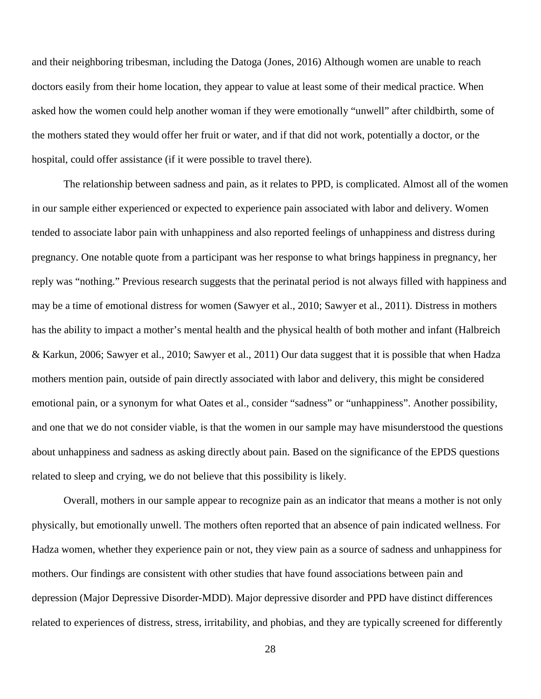and their neighboring tribesman, including the Datoga (Jones, 2016) Although women are unable to reach doctors easily from their home location, they appear to value at least some of their medical practice. When asked how the women could help another woman if they were emotionally "unwell" after childbirth, some of the mothers stated they would offer her fruit or water, and if that did not work, potentially a doctor, or the hospital, could offer assistance (if it were possible to travel there).

The relationship between sadness and pain, as it relates to PPD, is complicated. Almost all of the women in our sample either experienced or expected to experience pain associated with labor and delivery. Women tended to associate labor pain with unhappiness and also reported feelings of unhappiness and distress during pregnancy. One notable quote from a participant was her response to what brings happiness in pregnancy, her reply was "nothing." Previous research suggests that the perinatal period is not always filled with happiness and may be a time of emotional distress for women (Sawyer et al., 2010; Sawyer et al., 2011). Distress in mothers has the ability to impact a mother's mental health and the physical health of both mother and infant (Halbreich & Karkun, 2006; Sawyer et al., 2010; Sawyer et al., 2011) Our data suggest that it is possible that when Hadza mothers mention pain, outside of pain directly associated with labor and delivery, this might be considered emotional pain, or a synonym for what Oates et al., consider "sadness" or "unhappiness". Another possibility, and one that we do not consider viable, is that the women in our sample may have misunderstood the questions about unhappiness and sadness as asking directly about pain. Based on the significance of the EPDS questions related to sleep and crying, we do not believe that this possibility is likely.

Overall, mothers in our sample appear to recognize pain as an indicator that means a mother is not only physically, but emotionally unwell. The mothers often reported that an absence of pain indicated wellness. For Hadza women, whether they experience pain or not, they view pain as a source of sadness and unhappiness for mothers. Our findings are consistent with other studies that have found associations between pain and depression (Major Depressive Disorder-MDD). Major depressive disorder and PPD have distinct differences related to experiences of distress, stress, irritability, and phobias, and they are typically screened for differently

28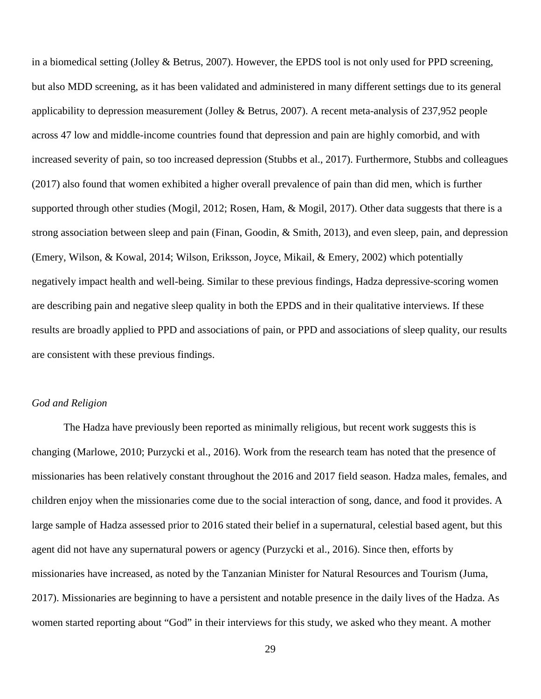in a biomedical setting (Jolley & Betrus, 2007). However, the EPDS tool is not only used for PPD screening, but also MDD screening, as it has been validated and administered in many different settings due to its general applicability to depression measurement (Jolley & Betrus, 2007). A recent meta-analysis of 237,952 people across 47 low and middle-income countries found that depression and pain are highly comorbid, and with increased severity of pain, so too increased depression (Stubbs et al., 2017). Furthermore, Stubbs and colleagues (2017) also found that women exhibited a higher overall prevalence of pain than did men, which is further supported through other studies (Mogil, 2012; Rosen, Ham, & Mogil, 2017). Other data suggests that there is a strong association between sleep and pain (Finan, Goodin, & Smith, 2013), and even sleep, pain, and depression (Emery, Wilson, & Kowal, 2014; Wilson, Eriksson, Joyce, Mikail, & Emery, 2002) which potentially negatively impact health and well-being. Similar to these previous findings, Hadza depressive-scoring women are describing pain and negative sleep quality in both the EPDS and in their qualitative interviews. If these results are broadly applied to PPD and associations of pain, or PPD and associations of sleep quality, our results are consistent with these previous findings.

## *God and Religion*

The Hadza have previously been reported as minimally religious, but recent work suggests this is changing (Marlowe, 2010; Purzycki et al., 2016). Work from the research team has noted that the presence of missionaries has been relatively constant throughout the 2016 and 2017 field season. Hadza males, females, and children enjoy when the missionaries come due to the social interaction of song, dance, and food it provides. A large sample of Hadza assessed prior to 2016 stated their belief in a supernatural, celestial based agent, but this agent did not have any supernatural powers or agency (Purzycki et al., 2016). Since then, efforts by missionaries have increased, as noted by the Tanzanian Minister for Natural Resources and Tourism (Juma, 2017). Missionaries are beginning to have a persistent and notable presence in the daily lives of the Hadza. As women started reporting about "God" in their interviews for this study, we asked who they meant. A mother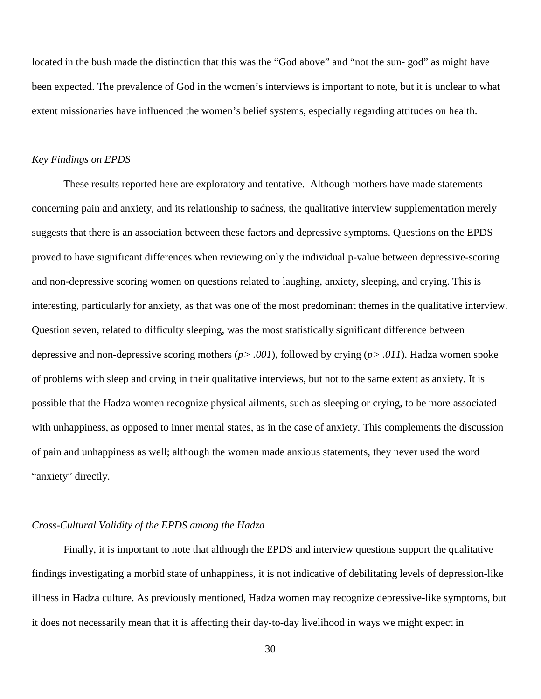located in the bush made the distinction that this was the "God above" and "not the sun-god" as might have been expected. The prevalence of God in the women's interviews is important to note, but it is unclear to what extent missionaries have influenced the women's belief systems, especially regarding attitudes on health.

#### *Key Findings on EPDS*

These results reported here are exploratory and tentative. Although mothers have made statements concerning pain and anxiety, and its relationship to sadness, the qualitative interview supplementation merely suggests that there is an association between these factors and depressive symptoms. Questions on the EPDS proved to have significant differences when reviewing only the individual p-value between depressive-scoring and non-depressive scoring women on questions related to laughing, anxiety, sleeping, and crying. This is interesting, particularly for anxiety, as that was one of the most predominant themes in the qualitative interview. Question seven, related to difficulty sleeping, was the most statistically significant difference between depressive and non-depressive scoring mothers (*p> .001*), followed by crying (*p> .011*). Hadza women spoke of problems with sleep and crying in their qualitative interviews, but not to the same extent as anxiety. It is possible that the Hadza women recognize physical ailments, such as sleeping or crying, to be more associated with unhappiness, as opposed to inner mental states, as in the case of anxiety. This complements the discussion of pain and unhappiness as well; although the women made anxious statements, they never used the word "anxiety" directly.

#### *Cross-Cultural Validity of the EPDS among the Hadza*

Finally, it is important to note that although the EPDS and interview questions support the qualitative findings investigating a morbid state of unhappiness, it is not indicative of debilitating levels of depression-like illness in Hadza culture. As previously mentioned, Hadza women may recognize depressive-like symptoms, but it does not necessarily mean that it is affecting their day-to-day livelihood in ways we might expect in

30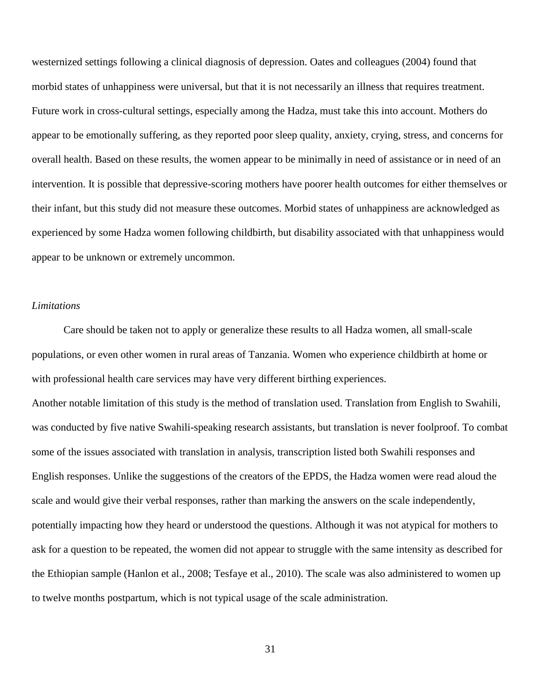westernized settings following a clinical diagnosis of depression. Oates and colleagues (2004) found that morbid states of unhappiness were universal, but that it is not necessarily an illness that requires treatment. Future work in cross-cultural settings, especially among the Hadza, must take this into account. Mothers do appear to be emotionally suffering, as they reported poor sleep quality, anxiety, crying, stress, and concerns for overall health. Based on these results, the women appear to be minimally in need of assistance or in need of an intervention. It is possible that depressive-scoring mothers have poorer health outcomes for either themselves or their infant, but this study did not measure these outcomes. Morbid states of unhappiness are acknowledged as experienced by some Hadza women following childbirth, but disability associated with that unhappiness would appear to be unknown or extremely uncommon.

#### *Limitations*

Care should be taken not to apply or generalize these results to all Hadza women, all small-scale populations, or even other women in rural areas of Tanzania. Women who experience childbirth at home or with professional health care services may have very different birthing experiences.

Another notable limitation of this study is the method of translation used. Translation from English to Swahili, was conducted by five native Swahili-speaking research assistants, but translation is never foolproof. To combat some of the issues associated with translation in analysis, transcription listed both Swahili responses and English responses. Unlike the suggestions of the creators of the EPDS, the Hadza women were read aloud the scale and would give their verbal responses, rather than marking the answers on the scale independently, potentially impacting how they heard or understood the questions. Although it was not atypical for mothers to ask for a question to be repeated, the women did not appear to struggle with the same intensity as described for the Ethiopian sample (Hanlon et al., 2008; Tesfaye et al., 2010). The scale was also administered to women up to twelve months postpartum, which is not typical usage of the scale administration.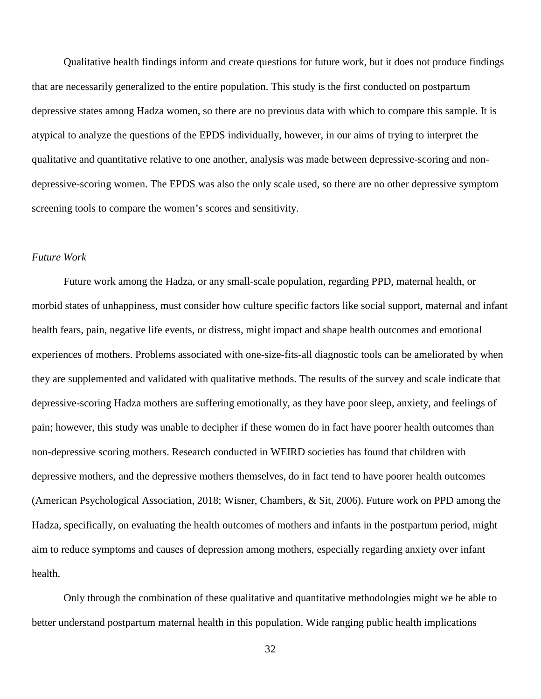Qualitative health findings inform and create questions for future work, but it does not produce findings that are necessarily generalized to the entire population. This study is the first conducted on postpartum depressive states among Hadza women, so there are no previous data with which to compare this sample. It is atypical to analyze the questions of the EPDS individually, however, in our aims of trying to interpret the qualitative and quantitative relative to one another, analysis was made between depressive-scoring and nondepressive-scoring women. The EPDS was also the only scale used, so there are no other depressive symptom screening tools to compare the women's scores and sensitivity.

#### *Future Work*

Future work among the Hadza, or any small-scale population, regarding PPD, maternal health, or morbid states of unhappiness, must consider how culture specific factors like social support, maternal and infant health fears, pain, negative life events, or distress, might impact and shape health outcomes and emotional experiences of mothers. Problems associated with one-size-fits-all diagnostic tools can be ameliorated by when they are supplemented and validated with qualitative methods. The results of the survey and scale indicate that depressive-scoring Hadza mothers are suffering emotionally, as they have poor sleep, anxiety, and feelings of pain; however, this study was unable to decipher if these women do in fact have poorer health outcomes than non-depressive scoring mothers. Research conducted in WEIRD societies has found that children with depressive mothers, and the depressive mothers themselves, do in fact tend to have poorer health outcomes (American Psychological Association, 2018; Wisner, Chambers, & Sit, 2006). Future work on PPD among the Hadza, specifically, on evaluating the health outcomes of mothers and infants in the postpartum period, might aim to reduce symptoms and causes of depression among mothers, especially regarding anxiety over infant health.

Only through the combination of these qualitative and quantitative methodologies might we be able to better understand postpartum maternal health in this population. Wide ranging public health implications

32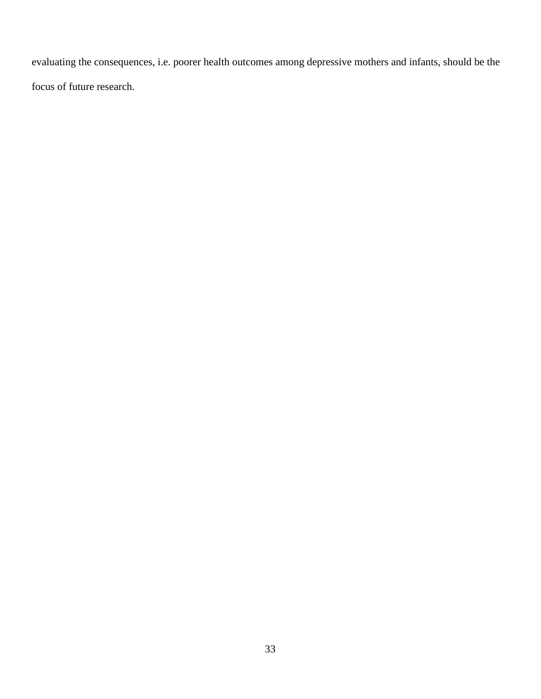evaluating the consequences, i.e. poorer health outcomes among depressive mothers and infants, should be the focus of future research.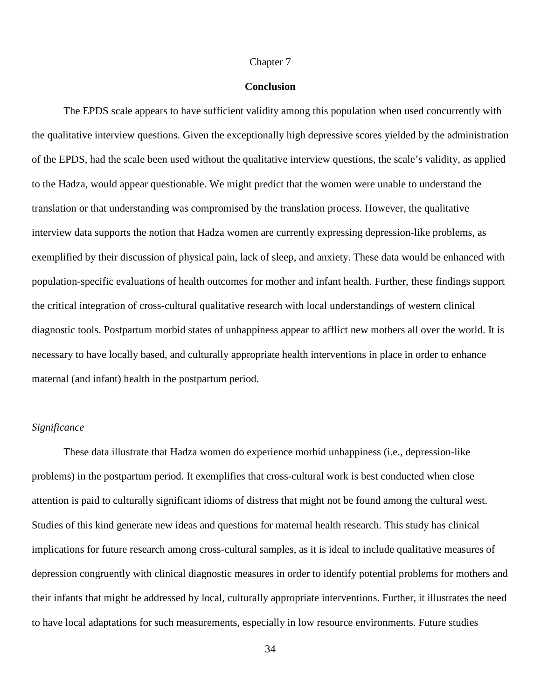#### Chapter 7

#### **Conclusion**

The EPDS scale appears to have sufficient validity among this population when used concurrently with the qualitative interview questions. Given the exceptionally high depressive scores yielded by the administration of the EPDS, had the scale been used without the qualitative interview questions, the scale's validity, as applied to the Hadza, would appear questionable. We might predict that the women were unable to understand the translation or that understanding was compromised by the translation process. However, the qualitative interview data supports the notion that Hadza women are currently expressing depression-like problems, as exemplified by their discussion of physical pain, lack of sleep, and anxiety. These data would be enhanced with population-specific evaluations of health outcomes for mother and infant health. Further, these findings support the critical integration of cross-cultural qualitative research with local understandings of western clinical diagnostic tools. Postpartum morbid states of unhappiness appear to afflict new mothers all over the world. It is necessary to have locally based, and culturally appropriate health interventions in place in order to enhance maternal (and infant) health in the postpartum period.

#### *Significance*

These data illustrate that Hadza women do experience morbid unhappiness (i.e., depression-like problems) in the postpartum period. It exemplifies that cross-cultural work is best conducted when close attention is paid to culturally significant idioms of distress that might not be found among the cultural west. Studies of this kind generate new ideas and questions for maternal health research. This study has clinical implications for future research among cross-cultural samples, as it is ideal to include qualitative measures of depression congruently with clinical diagnostic measures in order to identify potential problems for mothers and their infants that might be addressed by local, culturally appropriate interventions. Further, it illustrates the need to have local adaptations for such measurements, especially in low resource environments. Future studies

34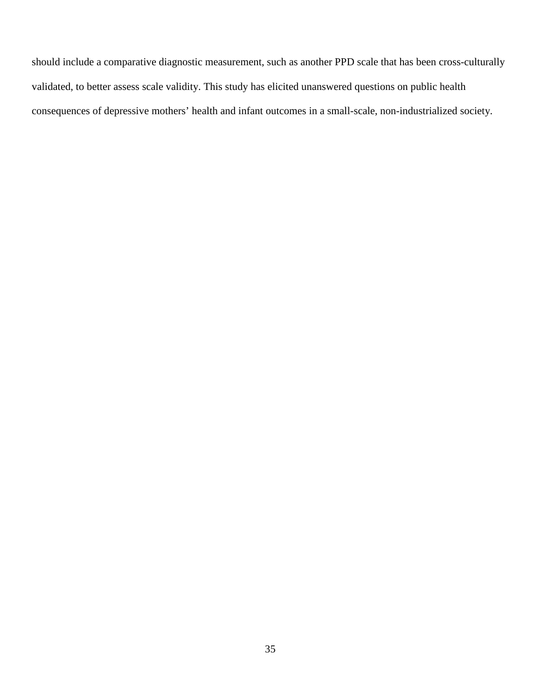should include a comparative diagnostic measurement, such as another PPD scale that has been cross-culturally validated, to better assess scale validity. This study has elicited unanswered questions on public health consequences of depressive mothers' health and infant outcomes in a small-scale, non-industrialized society.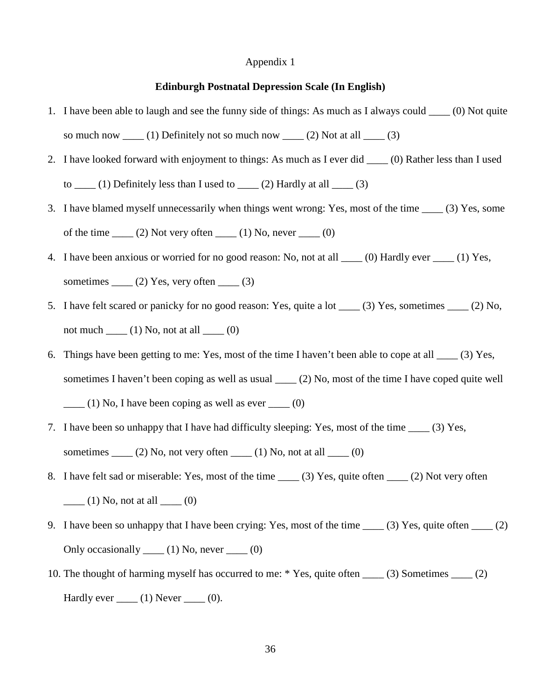#### **Edinburgh Postnatal Depression Scale (In English)**

- 1. I have been able to laugh and see the funny side of things: As much as I always could \_\_\_\_ (0) Not quite so much now  $\underline{\hspace{1cm}}(1)$  Definitely not so much now  $\underline{\hspace{1cm}}(2)$  Not at all  $\underline{\hspace{1cm}}(3)$
- 2. I have looked forward with enjoyment to things: As much as I ever did \_\_\_\_ (0) Rather less than I used to  $\frac{1}{\sqrt{3}}$  (1) Definitely less than I used to  $\frac{1}{\sqrt{3}}$  (2) Hardly at all  $\frac{1}{\sqrt{3}}$
- 3. I have blamed myself unnecessarily when things went wrong: Yes, most of the time \_\_\_\_ (3) Yes, some of the time  $\_\_$ (2) Not very often  $\_\_$ (1) No, never  $\_\_$ (0)
- 4. I have been anxious or worried for no good reason: No, not at all \_\_\_\_ (0) Hardly ever \_\_\_\_ (1) Yes, sometimes  $\_\_ (2)$  Yes, very often  $\_\_ (3)$
- 5. I have felt scared or panicky for no good reason: Yes, quite a lot \_\_\_\_ (3) Yes, sometimes \_\_\_\_ (2) No, not much  $\_\_$ (1) No, not at all  $\_\_$ (0)
- 6. Things have been getting to me: Yes, most of the time I haven't been able to cope at all \_\_\_\_ (3) Yes, sometimes I haven't been coping as well as usual \_\_\_\_ (2) No, most of the time I have coped quite well  $\frac{1}{2}$  (1) No, I have been coping as well as ever  $\frac{1}{2}$  (0)
- 7. I have been so unhappy that I have had difficulty sleeping: Yes, most of the time \_\_\_\_ (3) Yes, sometimes  $\underline{\hspace{1cm}}(2)$  No, not very often  $\underline{\hspace{1cm}}(1)$  No, not at all  $\underline{\hspace{1cm}}(0)$
- 8. I have felt sad or miserable: Yes, most of the time (3) Yes, quite often (2) Not very often  $\qquad$  (1) No, not at all  $\qquad$  (0)
- 9. I have been so unhappy that I have been crying: Yes, most of the time  $\qquad$  (3) Yes, quite often  $\qquad$  (2) Only occasionally  $\underline{\hspace{1cm}}(1)$  No, never  $\underline{\hspace{1cm}}(0)$
- 10. The thought of harming myself has occurred to me: \* Yes, quite often \_\_\_\_ (3) Sometimes \_\_\_\_ (2) Hardly ever  $\_\_$ (1) Never  $\_\_$ (0).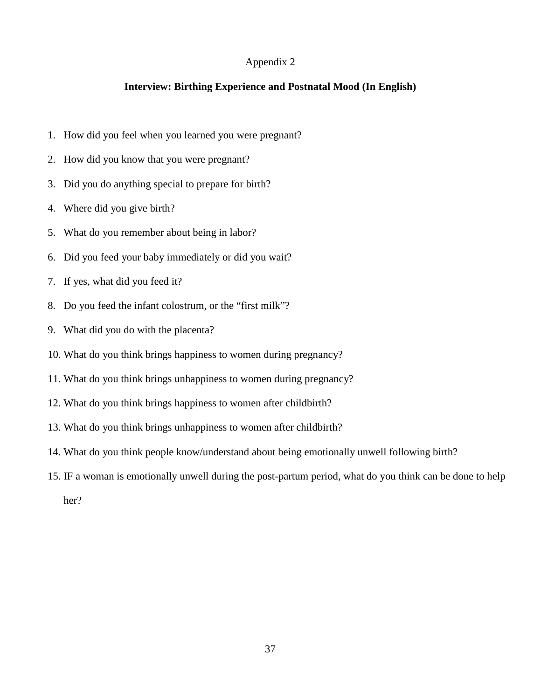#### **Interview: Birthing Experience and Postnatal Mood (In English)**

- 1. How did you feel when you learned you were pregnant?
- 2. How did you know that you were pregnant?
- 3. Did you do anything special to prepare for birth?
- 4. Where did you give birth?
- 5. What do you remember about being in labor?
- 6. Did you feed your baby immediately or did you wait?
- 7. If yes, what did you feed it?
- 8. Do you feed the infant colostrum, or the "first milk"?
- 9. What did you do with the placenta?
- 10. What do you think brings happiness to women during pregnancy?
- 11. What do you think brings unhappiness to women during pregnancy?
- 12. What do you think brings happiness to women after childbirth?
- 13. What do you think brings unhappiness to women after childbirth?
- 14. What do you think people know/understand about being emotionally unwell following birth?
- 15. IF a woman is emotionally unwell during the post-partum period, what do you think can be done to help

her?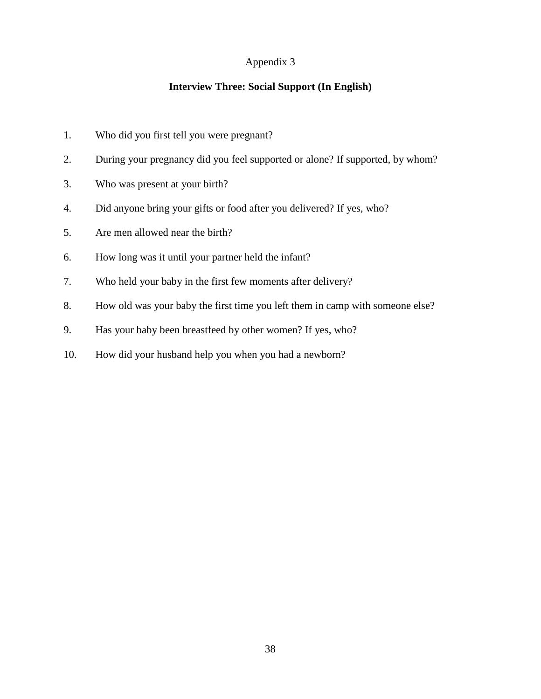## **Interview Three: Social Support (In English)**

- 1. Who did you first tell you were pregnant?
- 2. During your pregnancy did you feel supported or alone? If supported, by whom?
- 3. Who was present at your birth?
- 4. Did anyone bring your gifts or food after you delivered? If yes, who?
- 5. Are men allowed near the birth?
- 6. How long was it until your partner held the infant?
- 7. Who held your baby in the first few moments after delivery?
- 8. How old was your baby the first time you left them in camp with someone else?
- 9. Has your baby been breastfeed by other women? If yes, who?
- 10. How did your husband help you when you had a newborn?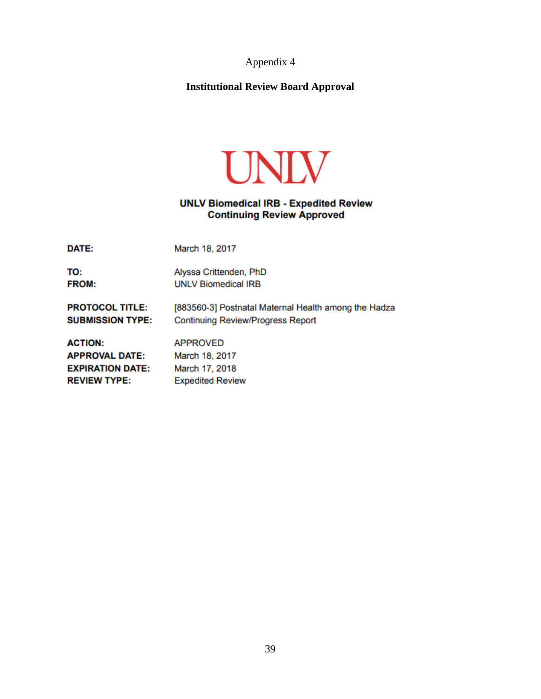## **Institutional Review Board Approval**



## **UNLV Biomedical IRB - Expedited Review Continuing Review Approved**

DATE: March 18, 2017

TO: Alyssa Crittenden, PhD **FROM: UNLV Biomedical IRB** 

**PROTOCOL TITLE:** [883560-3] Postnatal Maternal Health among the Hadza **SUBMISSION TYPE: Continuing Review/Progress Report** 

**ACTION: APPROVED APPROVAL DATE:** March 18, 2017 **EXPIRATION DATE:** March 17, 2018 **REVIEW TYPE: Expedited Review**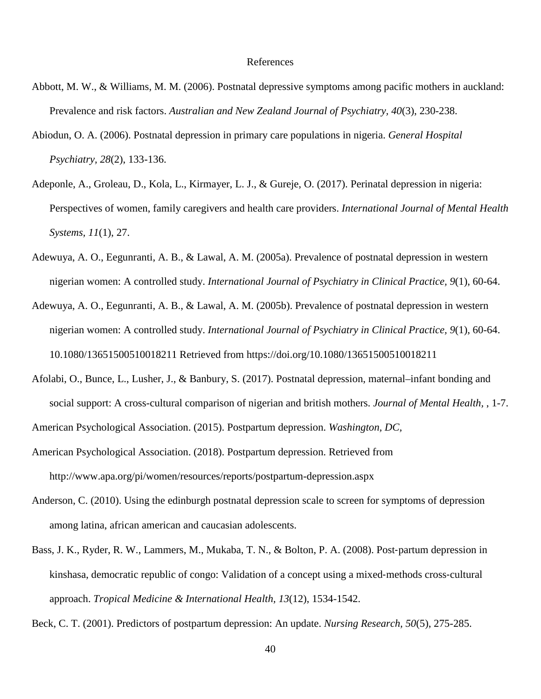#### References

- Abbott, M. W., & Williams, M. M. (2006). Postnatal depressive symptoms among pacific mothers in auckland: Prevalence and risk factors. *Australian and New Zealand Journal of Psychiatry, 40*(3), 230-238.
- Abiodun, O. A. (2006). Postnatal depression in primary care populations in nigeria. *General Hospital Psychiatry, 28*(2), 133-136.
- Adeponle, A., Groleau, D., Kola, L., Kirmayer, L. J., & Gureje, O. (2017). Perinatal depression in nigeria: Perspectives of women, family caregivers and health care providers. *International Journal of Mental Health Systems, 11*(1), 27.
- Adewuya, A. O., Eegunranti, A. B., & Lawal, A. M. (2005a). Prevalence of postnatal depression in western nigerian women: A controlled study. *International Journal of Psychiatry in Clinical Practice, 9*(1), 60-64.
- Adewuya, A. O., Eegunranti, A. B., & Lawal, A. M. (2005b). Prevalence of postnatal depression in western nigerian women: A controlled study. *International Journal of Psychiatry in Clinical Practice, 9*(1), 60-64. 10.1080/13651500510018211 Retrieved from https://doi.org/10.1080/13651500510018211
- Afolabi, O., Bunce, L., Lusher, J., & Banbury, S. (2017). Postnatal depression, maternal–infant bonding and social support: A cross-cultural comparison of nigerian and british mothers. *Journal of Mental Health,* , 1-7. American Psychological Association. (2015). Postpartum depression. *Washington, DC,*
- American Psychological Association. (2018). Postpartum depression. Retrieved from http://www.apa.org/pi/women/resources/reports/postpartum-depression.aspx
- Anderson, C. (2010). Using the edinburgh postnatal depression scale to screen for symptoms of depression among latina, african american and caucasian adolescents.
- Bass, J. K., Ryder, R. W., Lammers, M., Mukaba, T. N., & Bolton, P. A. (2008). Post-partum depression in kinshasa, democratic republic of congo: Validation of a concept using a mixed-methods cross-cultural approach. *Tropical Medicine & International Health, 13*(12), 1534-1542.

Beck, C. T. (2001). Predictors of postpartum depression: An update. *Nursing Research, 50*(5), 275-285.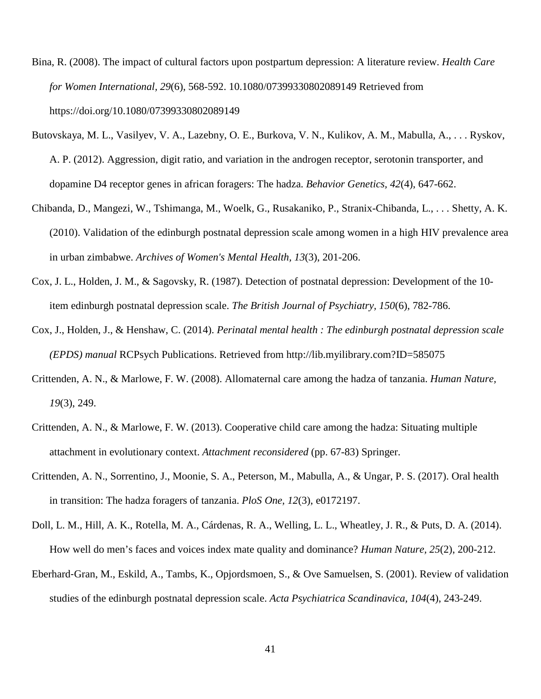Bina, R. (2008). The impact of cultural factors upon postpartum depression: A literature review. *Health Care for Women International, 29*(6), 568-592. 10.1080/07399330802089149 Retrieved from https://doi.org/10.1080/07399330802089149

- Butovskaya, M. L., Vasilyev, V. A., Lazebny, O. E., Burkova, V. N., Kulikov, A. M., Mabulla, A., . . . Ryskov, A. P. (2012). Aggression, digit ratio, and variation in the androgen receptor, serotonin transporter, and dopamine D4 receptor genes in african foragers: The hadza. *Behavior Genetics, 42*(4), 647-662.
- Chibanda, D., Mangezi, W., Tshimanga, M., Woelk, G., Rusakaniko, P., Stranix-Chibanda, L., . . . Shetty, A. K. (2010). Validation of the edinburgh postnatal depression scale among women in a high HIV prevalence area in urban zimbabwe. *Archives of Women's Mental Health, 13*(3), 201-206.
- Cox, J. L., Holden, J. M., & Sagovsky, R. (1987). Detection of postnatal depression: Development of the 10 item edinburgh postnatal depression scale. *The British Journal of Psychiatry, 150*(6), 782-786.
- Cox, J., Holden, J., & Henshaw, C. (2014). *Perinatal mental health : The edinburgh postnatal depression scale (EPDS) manual* RCPsych Publications. Retrieved from http://lib.myilibrary.com?ID=585075
- Crittenden, A. N., & Marlowe, F. W. (2008). Allomaternal care among the hadza of tanzania. *Human Nature, 19*(3), 249.
- Crittenden, A. N., & Marlowe, F. W. (2013). Cooperative child care among the hadza: Situating multiple attachment in evolutionary context. *Attachment reconsidered* (pp. 67-83) Springer.
- Crittenden, A. N., Sorrentino, J., Moonie, S. A., Peterson, M., Mabulla, A., & Ungar, P. S. (2017). Oral health in transition: The hadza foragers of tanzania. *PloS One, 12*(3), e0172197.
- Doll, L. M., Hill, A. K., Rotella, M. A., Cárdenas, R. A., Welling, L. L., Wheatley, J. R., & Puts, D. A. (2014). How well do men's faces and voices index mate quality and dominance? *Human Nature, 25*(2), 200-212.
- Eberhard‐Gran, M., Eskild, A., Tambs, K., Opjordsmoen, S., & Ove Samuelsen, S. (2001). Review of validation studies of the edinburgh postnatal depression scale. *Acta Psychiatrica Scandinavica, 104*(4), 243-249.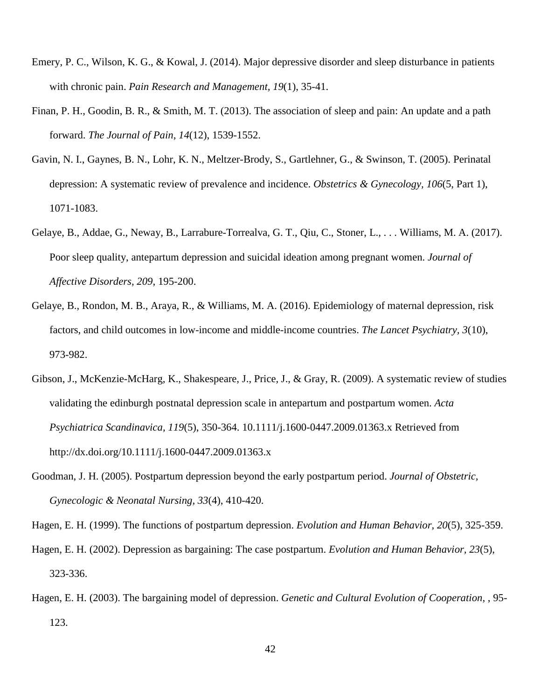- Emery, P. C., Wilson, K. G., & Kowal, J. (2014). Major depressive disorder and sleep disturbance in patients with chronic pain. *Pain Research and Management, 19*(1), 35-41.
- Finan, P. H., Goodin, B. R., & Smith, M. T. (2013). The association of sleep and pain: An update and a path forward. *The Journal of Pain, 14*(12), 1539-1552.
- Gavin, N. I., Gaynes, B. N., Lohr, K. N., Meltzer-Brody, S., Gartlehner, G., & Swinson, T. (2005). Perinatal depression: A systematic review of prevalence and incidence. *Obstetrics & Gynecology, 106*(5, Part 1), 1071-1083.
- Gelaye, B., Addae, G., Neway, B., Larrabure-Torrealva, G. T., Qiu, C., Stoner, L., . . . Williams, M. A. (2017). Poor sleep quality, antepartum depression and suicidal ideation among pregnant women. *Journal of Affective Disorders, 209*, 195-200.
- Gelaye, B., Rondon, M. B., Araya, R., & Williams, M. A. (2016). Epidemiology of maternal depression, risk factors, and child outcomes in low-income and middle-income countries. *The Lancet Psychiatry, 3*(10), 973-982.
- Gibson, J., McKenzie-McHarg, K., Shakespeare, J., Price, J., & Gray, R. (2009). A systematic review of studies validating the edinburgh postnatal depression scale in antepartum and postpartum women. *Acta Psychiatrica Scandinavica, 119*(5), 350-364. 10.1111/j.1600-0447.2009.01363.x Retrieved from http://dx.doi.org/10.1111/j.1600-0447.2009.01363.x
- Goodman, J. H. (2005). Postpartum depression beyond the early postpartum period. *Journal of Obstetric, Gynecologic & Neonatal Nursing, 33*(4), 410-420.

- Hagen, E. H. (2002). Depression as bargaining: The case postpartum. *Evolution and Human Behavior, 23*(5), 323-336.
- Hagen, E. H. (2003). The bargaining model of depression. *Genetic and Cultural Evolution of Cooperation,* , 95- 123.

Hagen, E. H. (1999). The functions of postpartum depression. *Evolution and Human Behavior, 20*(5), 325-359.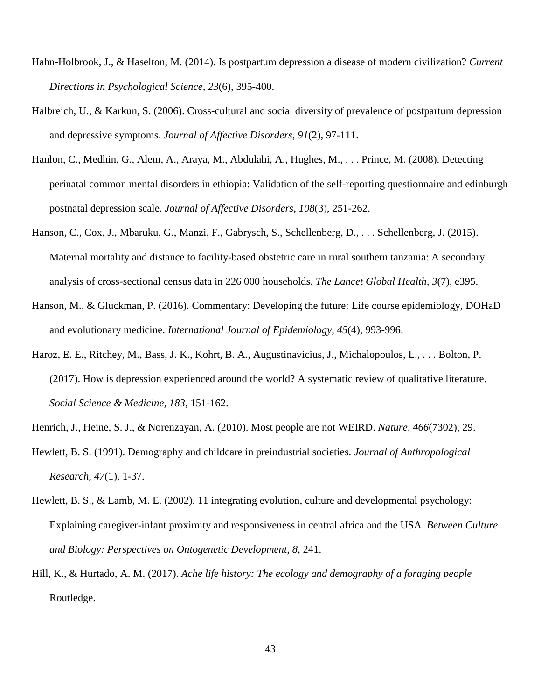- Hahn-Holbrook, J., & Haselton, M. (2014). Is postpartum depression a disease of modern civilization? *Current Directions in Psychological Science, 23*(6), 395-400.
- Halbreich, U., & Karkun, S. (2006). Cross-cultural and social diversity of prevalence of postpartum depression and depressive symptoms. *Journal of Affective Disorders, 91*(2), 97-111.
- Hanlon, C., Medhin, G., Alem, A., Araya, M., Abdulahi, A., Hughes, M., . . . Prince, M. (2008). Detecting perinatal common mental disorders in ethiopia: Validation of the self-reporting questionnaire and edinburgh postnatal depression scale. *Journal of Affective Disorders, 108*(3), 251-262.
- Hanson, C., Cox, J., Mbaruku, G., Manzi, F., Gabrysch, S., Schellenberg, D., . . . Schellenberg, J. (2015). Maternal mortality and distance to facility-based obstetric care in rural southern tanzania: A secondary analysis of cross-sectional census data in 226 000 households. *The Lancet Global Health, 3*(7), e395.
- Hanson, M., & Gluckman, P. (2016). Commentary: Developing the future: Life course epidemiology, DOHaD and evolutionary medicine. *International Journal of Epidemiology, 45*(4), 993-996.
- Haroz, E. E., Ritchey, M., Bass, J. K., Kohrt, B. A., Augustinavicius, J., Michalopoulos, L., . . . Bolton, P. (2017). How is depression experienced around the world? A systematic review of qualitative literature. *Social Science & Medicine, 183*, 151-162.
- Henrich, J., Heine, S. J., & Norenzayan, A. (2010). Most people are not WEIRD. *Nature, 466*(7302), 29.
- Hewlett, B. S. (1991). Demography and childcare in preindustrial societies. *Journal of Anthropological Research, 47*(1), 1-37.
- Hewlett, B. S., & Lamb, M. E. (2002). 11 integrating evolution, culture and developmental psychology: Explaining caregiver-infant proximity and responsiveness in central africa and the USA. *Between Culture and Biology: Perspectives on Ontogenetic Development, 8*, 241.
- Hill, K., & Hurtado, A. M. (2017). *Ache life history: The ecology and demography of a foraging people* Routledge.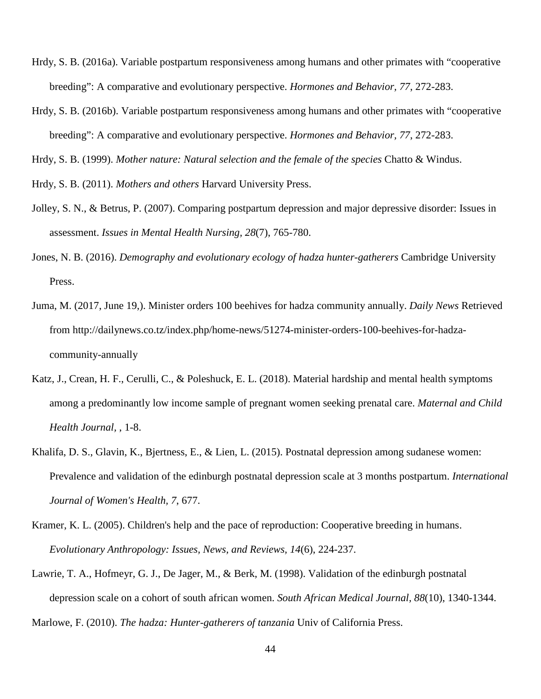- Hrdy, S. B. (2016a). Variable postpartum responsiveness among humans and other primates with "cooperative breeding": A comparative and evolutionary perspective. *Hormones and Behavior, 77*, 272-283.
- Hrdy, S. B. (2016b). Variable postpartum responsiveness among humans and other primates with "cooperative breeding": A comparative and evolutionary perspective. *Hormones and Behavior, 77*, 272-283.

Hrdy, S. B. (1999). *Mother nature: Natural selection and the female of the species* Chatto & Windus.

Hrdy, S. B. (2011). *Mothers and others* Harvard University Press.

- Jolley, S. N., & Betrus, P. (2007). Comparing postpartum depression and major depressive disorder: Issues in assessment. *Issues in Mental Health Nursing, 28*(7), 765-780.
- Jones, N. B. (2016). *Demography and evolutionary ecology of hadza hunter-gatherers* Cambridge University Press.
- Juma, M. (2017, June 19,). Minister orders 100 beehives for hadza community annually. *Daily News* Retrieved from http://dailynews.co.tz/index.php/home-news/51274-minister-orders-100-beehives-for-hadzacommunity-annually
- Katz, J., Crean, H. F., Cerulli, C., & Poleshuck, E. L. (2018). Material hardship and mental health symptoms among a predominantly low income sample of pregnant women seeking prenatal care. *Maternal and Child Health Journal,* , 1-8.
- Khalifa, D. S., Glavin, K., Bjertness, E., & Lien, L. (2015). Postnatal depression among sudanese women: Prevalence and validation of the edinburgh postnatal depression scale at 3 months postpartum. *International Journal of Women's Health, 7*, 677.
- Kramer, K. L. (2005). Children's help and the pace of reproduction: Cooperative breeding in humans. *Evolutionary Anthropology: Issues, News, and Reviews, 14*(6), 224-237.
- Lawrie, T. A., Hofmeyr, G. J., De Jager, M., & Berk, M. (1998). Validation of the edinburgh postnatal depression scale on a cohort of south african women. *South African Medical Journal, 88*(10), 1340-1344. Marlowe, F. (2010). *The hadza: Hunter-gatherers of tanzania* Univ of California Press.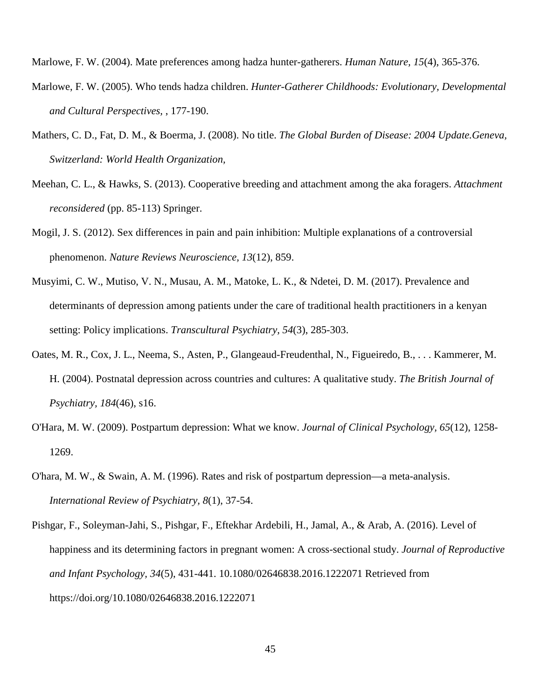Marlowe, F. W. (2004). Mate preferences among hadza hunter-gatherers. *Human Nature, 15*(4), 365-376.

- Marlowe, F. W. (2005). Who tends hadza children. *Hunter-Gatherer Childhoods: Evolutionary, Developmental and Cultural Perspectives,* , 177-190.
- Mathers, C. D., Fat, D. M., & Boerma, J. (2008). No title. *The Global Burden of Disease: 2004 Update.Geneva, Switzerland: World Health Organization,*
- Meehan, C. L., & Hawks, S. (2013). Cooperative breeding and attachment among the aka foragers. *Attachment reconsidered* (pp. 85-113) Springer.
- Mogil, J. S. (2012). Sex differences in pain and pain inhibition: Multiple explanations of a controversial phenomenon. *Nature Reviews Neuroscience, 13*(12), 859.
- Musyimi, C. W., Mutiso, V. N., Musau, A. M., Matoke, L. K., & Ndetei, D. M. (2017). Prevalence and determinants of depression among patients under the care of traditional health practitioners in a kenyan setting: Policy implications. *Transcultural Psychiatry, 54*(3), 285-303.
- Oates, M. R., Cox, J. L., Neema, S., Asten, P., Glangeaud-Freudenthal, N., Figueiredo, B., . . . Kammerer, M. H. (2004). Postnatal depression across countries and cultures: A qualitative study. *The British Journal of Psychiatry, 184*(46), s16.
- O'Hara, M. W. (2009). Postpartum depression: What we know. *Journal of Clinical Psychology, 65*(12), 1258- 1269.
- O'hara, M. W., & Swain, A. M. (1996). Rates and risk of postpartum depression—a meta-analysis. *International Review of Psychiatry, 8*(1), 37-54.
- Pishgar, F., Soleyman-Jahi, S., Pishgar, F., Eftekhar Ardebili, H., Jamal, A., & Arab, A. (2016). Level of happiness and its determining factors in pregnant women: A cross-sectional study. *Journal of Reproductive and Infant Psychology, 34*(5), 431-441. 10.1080/02646838.2016.1222071 Retrieved from https://doi.org/10.1080/02646838.2016.1222071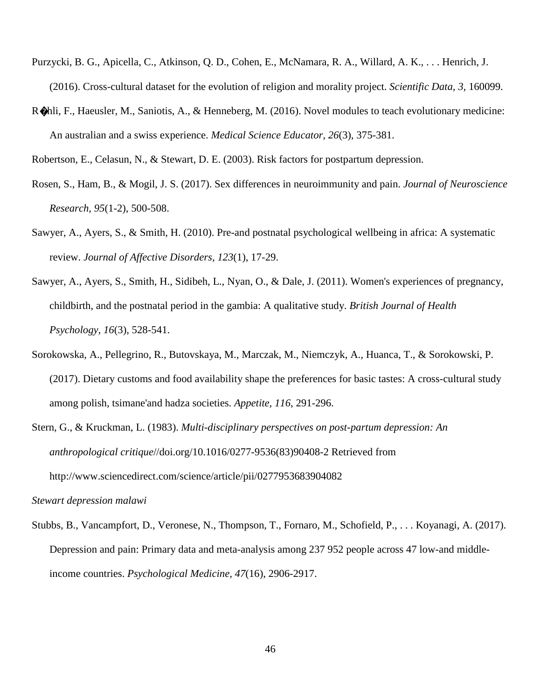- Purzycki, B. G., Apicella, C., Atkinson, Q. D., Cohen, E., McNamara, R. A., Willard, A. K., . . . Henrich, J. (2016). Cross-cultural dataset for the evolution of religion and morality project. *Scientific Data, 3*, 160099.
- R�hli, F., Haeusler, M., Saniotis, A., & Henneberg, M. (2016). Novel modules to teach evolutionary medicine: An australian and a swiss experience. *Medical Science Educator, 26*(3), 375-381.

Robertson, E., Celasun, N., & Stewart, D. E. (2003). Risk factors for postpartum depression.

- Rosen, S., Ham, B., & Mogil, J. S. (2017). Sex differences in neuroimmunity and pain. *Journal of Neuroscience Research, 95*(1-2), 500-508.
- Sawyer, A., Ayers, S., & Smith, H. (2010). Pre-and postnatal psychological wellbeing in africa: A systematic review. *Journal of Affective Disorders, 123*(1), 17-29.
- Sawyer, A., Ayers, S., Smith, H., Sidibeh, L., Nyan, O., & Dale, J. (2011). Women's experiences of pregnancy, childbirth, and the postnatal period in the gambia: A qualitative study. *British Journal of Health Psychology, 16*(3), 528-541.
- Sorokowska, A., Pellegrino, R., Butovskaya, M., Marczak, M., Niemczyk, A., Huanca, T., & Sorokowski, P. (2017). Dietary customs and food availability shape the preferences for basic tastes: A cross-cultural study among polish, tsimane'and hadza societies. *Appetite, 116*, 291-296.
- Stern, G., & Kruckman, L. (1983). *Multi-disciplinary perspectives on post-partum depression: An anthropological critique*//doi.org/10.1016/0277-9536(83)90408-2 Retrieved from http://www.sciencedirect.com/science/article/pii/0277953683904082

#### *Stewart depression malawi*

Stubbs, B., Vancampfort, D., Veronese, N., Thompson, T., Fornaro, M., Schofield, P., . . . Koyanagi, A. (2017). Depression and pain: Primary data and meta-analysis among 237 952 people across 47 low-and middleincome countries. *Psychological Medicine, 47*(16), 2906-2917.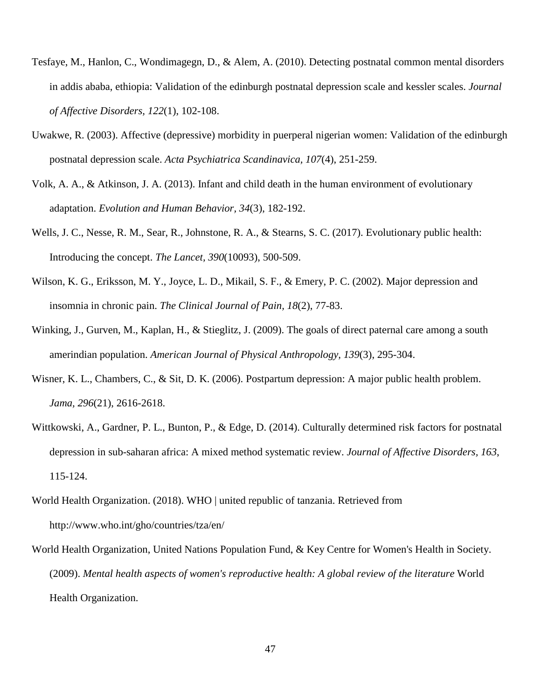- Tesfaye, M., Hanlon, C., Wondimagegn, D., & Alem, A. (2010). Detecting postnatal common mental disorders in addis ababa, ethiopia: Validation of the edinburgh postnatal depression scale and kessler scales. *Journal of Affective Disorders, 122*(1), 102-108.
- Uwakwe, R. (2003). Affective (depressive) morbidity in puerperal nigerian women: Validation of the edinburgh postnatal depression scale. *Acta Psychiatrica Scandinavica, 107*(4), 251-259.
- Volk, A. A., & Atkinson, J. A. (2013). Infant and child death in the human environment of evolutionary adaptation. *Evolution and Human Behavior, 34*(3), 182-192.
- Wells, J. C., Nesse, R. M., Sear, R., Johnstone, R. A., & Stearns, S. C. (2017). Evolutionary public health: Introducing the concept. *The Lancet, 390*(10093), 500-509.
- Wilson, K. G., Eriksson, M. Y., Joyce, L. D., Mikail, S. F., & Emery, P. C. (2002). Major depression and insomnia in chronic pain. *The Clinical Journal of Pain, 18*(2), 77-83.
- Winking, J., Gurven, M., Kaplan, H., & Stieglitz, J. (2009). The goals of direct paternal care among a south amerindian population. *American Journal of Physical Anthropology, 139*(3), 295-304.
- Wisner, K. L., Chambers, C., & Sit, D. K. (2006). Postpartum depression: A major public health problem. *Jama, 296*(21), 2616-2618.
- Wittkowski, A., Gardner, P. L., Bunton, P., & Edge, D. (2014). Culturally determined risk factors for postnatal depression in sub-saharan africa: A mixed method systematic review. *Journal of Affective Disorders, 163*, 115-124.
- World Health Organization. (2018). WHO | united republic of tanzania. Retrieved from http://www.who.int/gho/countries/tza/en/
- World Health Organization, United Nations Population Fund, & Key Centre for Women's Health in Society. (2009). *Mental health aspects of women's reproductive health: A global review of the literature* World Health Organization.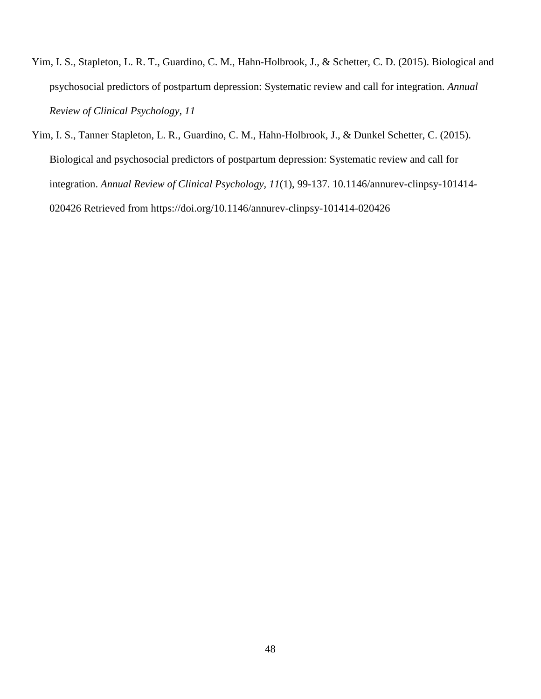- Yim, I. S., Stapleton, L. R. T., Guardino, C. M., Hahn-Holbrook, J., & Schetter, C. D. (2015). Biological and psychosocial predictors of postpartum depression: Systematic review and call for integration. *Annual Review of Clinical Psychology, 11*
- Yim, I. S., Tanner Stapleton, L. R., Guardino, C. M., Hahn-Holbrook, J., & Dunkel Schetter, C. (2015). Biological and psychosocial predictors of postpartum depression: Systematic review and call for integration. *Annual Review of Clinical Psychology, 11*(1), 99-137. 10.1146/annurev-clinpsy-101414- 020426 Retrieved from https://doi.org/10.1146/annurev-clinpsy-101414-020426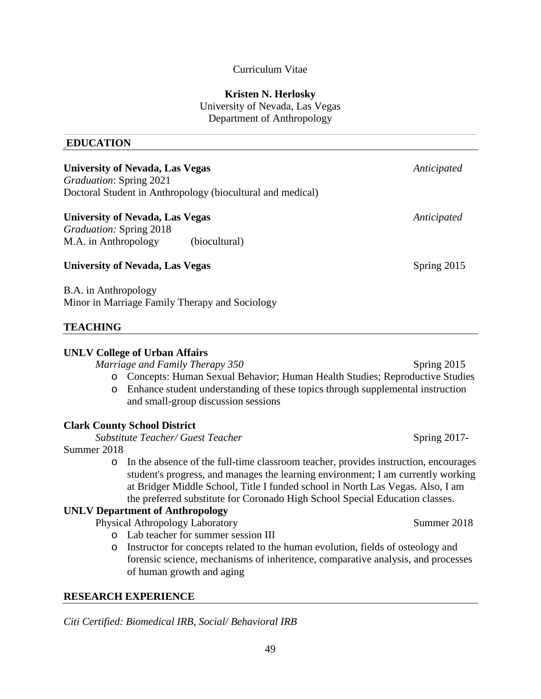## Curriculum Vitae

## **Kristen N. Herlosky**

University of Nevada, Las Vegas Department of Anthropology

## **EDUCATION**

| <b>University of Nevada, Las Vegas</b><br><i>Graduation: Spring 2021</i><br>Doctoral Student in Anthropology (biocultural and medical) |               |             |  |  |
|----------------------------------------------------------------------------------------------------------------------------------------|---------------|-------------|--|--|
| <b>University of Nevada, Las Vegas</b>                                                                                                 | Anticipated   |             |  |  |
| <i>Graduation: Spring 2018</i>                                                                                                         |               |             |  |  |
| M.A. in Anthropology                                                                                                                   | (biocultural) |             |  |  |
| <b>University of Nevada, Las Vegas</b>                                                                                                 |               | Spring 2015 |  |  |
| $\mathbf{D}$ $\Lambda$ in Anthropology                                                                                                 |               |             |  |  |

B.A. in Anthropology Minor in Marriage Family Therapy and Sociology

## **TEACHING**

## **UNLV College of Urban Affairs**

*Marriage and Family Therapy 350* Spring 2015

- o Concepts: Human Sexual Behavior; Human Health Studies; Reproductive Studies
- o Enhance student understanding of these topics through supplemental instruction and small-group discussion sessions

## **Clark County School District**

*Substitute Teacher/ Guest Teacher* **Spring 2017**-

Summer 2018

o In the absence of the full-time classroom teacher, provides instruction, encourages student's progress, and manages the learning environment; I am currently working at Bridger Middle School, Title I funded school in North Las Vegas. Also, I am the preferred substitute for Coronado High School Special Education classes.

## **UNLV Department of Anthropology**

Physical Athropology Laboratory Summer 2018

- o Lab teacher for summer session III
- o Instructor for concepts related to the human evolution, fields of osteology and forensic science, mechanisms of inheritence, comparative analysis, and processes of human growth and aging

## **RESEARCH EXPERIENCE**

*Citi Certified: Biomedical IRB, Social/ Behavioral IRB*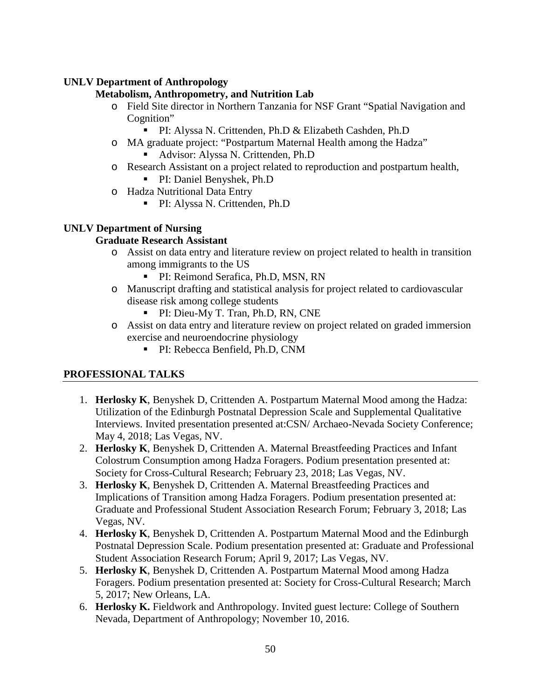## **UNLV Department of Anthropology**

## **Metabolism, Anthropometry, and Nutrition Lab**

- o Field Site director in Northern Tanzania for NSF Grant "Spatial Navigation and Cognition"
	- PI: Alyssa N. Crittenden, Ph.D & Elizabeth Cashden, Ph.D
- o MA graduate project: "Postpartum Maternal Health among the Hadza"
	- Advisor: Alyssa N. Crittenden, Ph.D
- o Research Assistant on a project related to reproduction and postpartum health,
	- PI: Daniel Benyshek, Ph.D
- o Hadza Nutritional Data Entry
	- PI: Alyssa N. Crittenden, Ph.D

## **UNLV Department of Nursing**

## **Graduate Research Assistant**

- o Assist on data entry and literature review on project related to health in transition among immigrants to the US
	- PI: Reimond Serafica, Ph.D, MSN, RN
- o Manuscript drafting and statistical analysis for project related to cardiovascular disease risk among college students
	- PI: Dieu-My T. Tran, Ph.D, RN, CNE
- o Assist on data entry and literature review on project related on graded immersion exercise and neuroendocrine physiology
	- PI: Rebecca Benfield, Ph.D, CNM

## **PROFESSIONAL TALKS**

- 1. **Herlosky K**, Benyshek D, Crittenden A. Postpartum Maternal Mood among the Hadza: Utilization of the Edinburgh Postnatal Depression Scale and Supplemental Qualitative Interviews. Invited presentation presented at:CSN/ Archaeo-Nevada Society Conference; May 4, 2018; Las Vegas, NV.
- 2. **Herlosky K**, Benyshek D, Crittenden A. Maternal Breastfeeding Practices and Infant Colostrum Consumption among Hadza Foragers. Podium presentation presented at: Society for Cross-Cultural Research; February 23, 2018; Las Vegas, NV.
- 3. **Herlosky K**, Benyshek D, Crittenden A. Maternal Breastfeeding Practices and Implications of Transition among Hadza Foragers. Podium presentation presented at: Graduate and Professional Student Association Research Forum; February 3, 2018; Las Vegas, NV.
- 4. **Herlosky K**, Benyshek D, Crittenden A. Postpartum Maternal Mood and the Edinburgh Postnatal Depression Scale. Podium presentation presented at: Graduate and Professional Student Association Research Forum; April 9, 2017; Las Vegas, NV.
- 5. **Herlosky K**, Benyshek D, Crittenden A. Postpartum Maternal Mood among Hadza Foragers. Podium presentation presented at: Society for Cross-Cultural Research; March 5, 2017; New Orleans, LA.
- 6. **Herlosky K.** Fieldwork and Anthropology. Invited guest lecture: College of Southern Nevada, Department of Anthropology; November 10, 2016.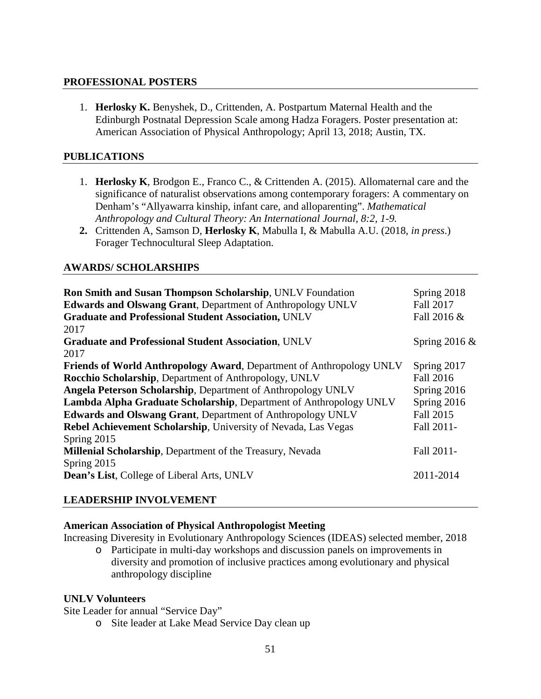## **PROFESSIONAL POSTERS**

1. **Herlosky K.** Benyshek, D., Crittenden, A. Postpartum Maternal Health and the Edinburgh Postnatal Depression Scale among Hadza Foragers. Poster presentation at: American Association of Physical Anthropology; April 13, 2018; Austin, TX.

## **PUBLICATIONS**

- 1. **Herlosky K**, Brodgon E., Franco C., & Crittenden A. (2015). Allomaternal care and the significance of naturalist observations among contemporary foragers: A commentary on Denham's "Allyawarra kinship, infant care, and alloparenting". *Mathematical Anthropology and Cultural Theory: An International Journal, 8:2, 1-9.*
- **2.** Crittenden A, Samson D, **Herlosky K**, Mabulla I, & Mabulla A.U. (2018, *in press*.) Forager Technocultural Sleep Adaptation.

## **AWARDS/ SCHOLARSHIPS**

| Ron Smith and Susan Thompson Scholarship, UNLV Foundation<br><b>Edwards and Olswang Grant, Department of Anthropology UNLV</b><br><b>Graduate and Professional Student Association, UNLV</b><br>2017                                                                                                                                                                                                                             | Spring 2018<br>Fall 2017<br>Fall 2016 &                                           |
|----------------------------------------------------------------------------------------------------------------------------------------------------------------------------------------------------------------------------------------------------------------------------------------------------------------------------------------------------------------------------------------------------------------------------------|-----------------------------------------------------------------------------------|
| <b>Graduate and Professional Student Association, UNLV</b><br>2017                                                                                                                                                                                                                                                                                                                                                               | Spring 2016 $&$                                                                   |
| <b>Friends of World Anthropology Award, Department of Anthropology UNLV</b><br>Rocchio Scholarship, Department of Anthropology, UNLV<br>Angela Peterson Scholarship, Department of Anthropology UNLV<br><b>Lambda Alpha Graduate Scholarship, Department of Anthropology UNLV</b><br>Edwards and Olswang Grant, Department of Anthropology UNLV<br>Rebel Achievement Scholarship, University of Nevada, Las Vegas<br>Spring 2015 | Spring 2017<br>Fall 2016<br>Spring 2016<br>Spring 2016<br>Fall 2015<br>Fall 2011- |
| Millenial Scholarship, Department of the Treasury, Nevada                                                                                                                                                                                                                                                                                                                                                                        | Fall 2011-                                                                        |
| Spring 2015<br><b>Dean's List, College of Liberal Arts, UNLV</b>                                                                                                                                                                                                                                                                                                                                                                 | 2011-2014                                                                         |

## **LEADERSHIP INVOLVEMENT**

## **American Association of Physical Anthropologist Meeting**

Increasing Diveresity in Evolutionary Anthropology Sciences (IDEAS) selected member, 2018

o Participate in multi-day workshops and discussion panels on improvements in diversity and promotion of inclusive practices among evolutionary and physical anthropology discipline

## **UNLV Volunteers**

Site Leader for annual "Service Day"

o Site leader at Lake Mead Service Day clean up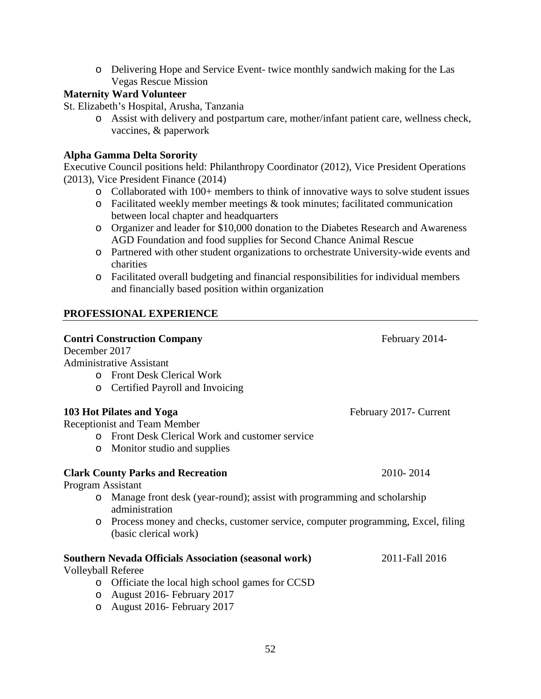o Delivering Hope and Service Event- twice monthly sandwich making for the Las Vegas Rescue Mission

## **Maternity Ward Volunteer**

St. Elizabeth's Hospital, Arusha, Tanzania

o Assist with delivery and postpartum care, mother/infant patient care, wellness check, vaccines, & paperwork

## **Alpha Gamma Delta Sorority**

Executive Council positions held: Philanthropy Coordinator (2012), Vice President Operations (2013), Vice President Finance (2014)

- o Collaborated with 100+ members to think of innovative ways to solve student issues
- o Facilitated weekly member meetings & took minutes; facilitated communication between local chapter and headquarters
- o Organizer and leader for \$10,000 donation to the Diabetes Research and Awareness AGD Foundation and food supplies for Second Chance Animal Rescue
- o Partnered with other student organizations to orchestrate University-wide events and charities
- o Facilitated overall budgeting and financial responsibilities for individual members and financially based position within organization

## **PROFESSIONAL EXPERIENCE**

| <b>Contri Construction Company</b>                                                                                  | February 2014-          |
|---------------------------------------------------------------------------------------------------------------------|-------------------------|
| December 2017                                                                                                       |                         |
| <b>Administrative Assistant</b>                                                                                     |                         |
| <b>Front Desk Clerical Work</b><br>$\Omega$                                                                         |                         |
| Certified Payroll and Invoicing<br>$\circ$                                                                          |                         |
| 103 Hot Pilates and Yoga                                                                                            | February 2017 - Current |
| <b>Receptionist and Team Member</b>                                                                                 |                         |
| Front Desk Clerical Work and customer service<br>$\Omega$                                                           |                         |
| Monitor studio and supplies<br>$\circ$                                                                              |                         |
| <b>Clark County Parks and Recreation</b>                                                                            | 2010-2014               |
| Program Assistant                                                                                                   |                         |
| Manage front desk (year-round); assist with programming and scholarship<br>$\circ$<br>administration                |                         |
| Process money and checks, customer service, computer programming, Excel, filing<br>$\circ$<br>(basic clerical work) |                         |
| <b>Southern Nevada Officials Association (seasonal work)</b>                                                        | 2011-Fall 2016          |
| <b>Volleyball Referee</b>                                                                                           |                         |
| Officiate the local high school games for CCSD<br>$\circ$                                                           |                         |
| August 2016- February 2017<br>$\circ$                                                                               |                         |
| August 2016- February 2017<br>$\circ$                                                                               |                         |
|                                                                                                                     |                         |